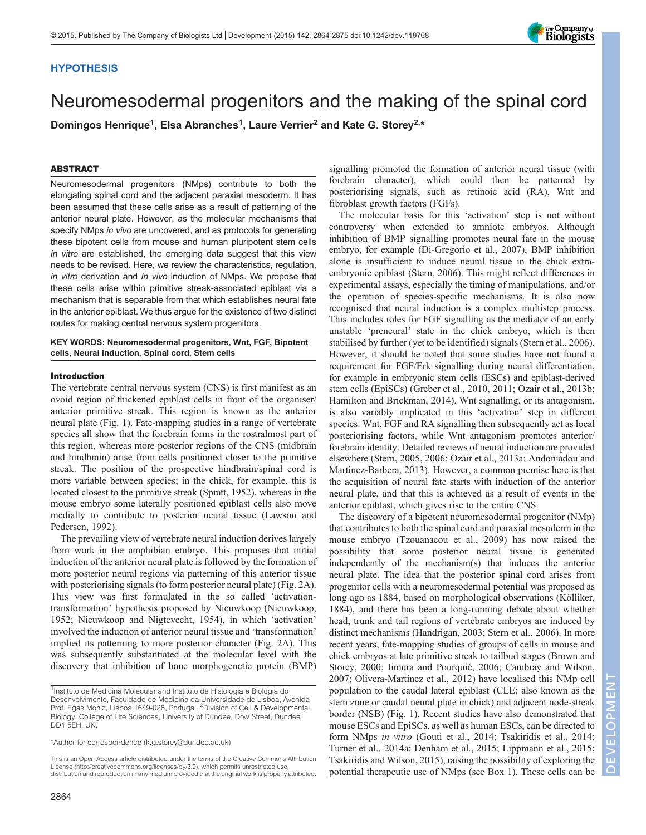# HYPOTHESIS

# Neuromesodermal progenitors and the making of the spinal cord

Domingos Henrique<sup>1</sup>, Elsa Abranches<sup>1</sup>, Laure Verrier<sup>2</sup> and Kate G. Storey<sup>2,\*</sup>

## ABSTRACT

Neuromesodermal progenitors (NMps) contribute to both the elongating spinal cord and the adjacent paraxial mesoderm. It has been assumed that these cells arise as a result of patterning of the anterior neural plate. However, as the molecular mechanisms that specify NMps in vivo are uncovered, and as protocols for generating these bipotent cells from mouse and human pluripotent stem cells in vitro are established, the emerging data suggest that this view needs to be revised. Here, we review the characteristics, regulation, in vitro derivation and in vivo induction of NMps. We propose that these cells arise within primitive streak-associated epiblast via a mechanism that is separable from that which establishes neural fate in the anterior epiblast. We thus argue for the existence of two distinct routes for making central nervous system progenitors.

## KEY WORDS: Neuromesodermal progenitors, Wnt, FGF, Bipotent cells, Neural induction, Spinal cord, Stem cells

#### Introduction

The vertebrate central nervous system (CNS) is first manifest as an ovoid region of thickened epiblast cells in front of the organiser/ anterior primitive streak. This region is known as the anterior neural plate ([Fig. 1](#page-1-0)). Fate-mapping studies in a range of vertebrate species all show that the forebrain forms in the rostralmost part of this region, whereas more posterior regions of the CNS (midbrain and hindbrain) arise from cells positioned closer to the primitive streak. The position of the prospective hindbrain/spinal cord is more variable between species; in the chick, for example, this is located closest to the primitive streak [\(Spratt, 1952](#page-10-0)), whereas in the mouse embryo some laterally positioned epiblast cells also move medially to contribute to posterior neural tissue [\(Lawson and](#page-9-0) [Pedersen, 1992\)](#page-9-0).

The prevailing view of vertebrate neural induction derives largely from work in the amphibian embryo. This proposes that initial induction of the anterior neural plate is followed by the formation of more posterior neural regions via patterning of this anterior tissue with posteriorising signals (to form posterior neural plate) [\(Fig. 2A](#page-2-0)). This view was first formulated in the so called 'activationtransformation' hypothesis proposed by Nieuwkoop ([Nieuwkoop,](#page-10-0) [1952](#page-10-0); [Nieuwkoop and Nigtevecht, 1954\)](#page-10-0), in which 'activation' involved the induction of anterior neural tissue and 'transformation' implied its patterning to more posterior character [\(Fig. 2](#page-2-0)A). This was subsequently substantiated at the molecular level with the discovery that inhibition of bone morphogenetic protein (BMP)

\*Author for correspondence [\(k.g.storey@dundee.ac.uk\)](mailto:k.g.storey@dundee.ac.uk)

This is an Open Access article distributed under the terms of the Creative Commons Attribution License [\(http://creativecommons.org/licenses/by/3.0\)](http://creativecommons.org/licenses/by/3.0), which permits unrestricted use, distribution and reproduction in any medium provided that the original work is properly attributed.

signalling promoted the formation of anterior neural tissue (with forebrain character), which could then be patterned by posteriorising signals, such as retinoic acid (RA), Wnt and fibroblast growth factors (FGFs).

The Company of<br>**Biologists** 

The molecular basis for this 'activation' step is not without controversy when extended to amniote embryos. Although inhibition of BMP signalling promotes neural fate in the mouse embryo, for example ([Di-Gregorio et al., 2007](#page-9-0)), BMP inhibition alone is insufficient to induce neural tissue in the chick extraembryonic epiblast [\(Stern, 2006\)](#page-10-0). This might reflect differences in experimental assays, especially the timing of manipulations, and/or the operation of species-specific mechanisms. It is also now recognised that neural induction is a complex multistep process. This includes roles for FGF signalling as the mediator of an early unstable 'preneural' state in the chick embryo, which is then stabilised by further (yet to be identified) signals [\(Stern et al., 2006\)](#page-10-0). However, it should be noted that some studies have not found a requirement for FGF/Erk signalling during neural differentiation, for example in embryonic stem cells (ESCs) and epiblast-derived stem cells (EpiSCs) ([Greber et al., 2010](#page-9-0), [2011](#page-9-0); [Ozair et al., 2013b](#page-10-0); [Hamilton and Brickman, 2014](#page-9-0)). Wnt signalling, or its antagonism, is also variably implicated in this 'activation' step in different species. Wnt, FGF and RA signalling then subsequently act as local posteriorising factors, while Wnt antagonism promotes anterior/ forebrain identity. Detailed reviews of neural induction are provided elsewhere ([Stern, 2005](#page-10-0), [2006; Ozair et al., 2013a](#page-10-0); [Andoniadou and](#page-9-0) [Martinez-Barbera, 2013](#page-9-0)). However, a common premise here is that the acquisition of neural fate starts with induction of the anterior neural plate, and that this is achieved as a result of events in the anterior epiblast, which gives rise to the entire CNS.

The discovery of a bipotent neuromesodermal progenitor (NMp) that contributes to both the spinal cord and paraxial mesoderm in the mouse embryo ([Tzouanacou et al., 2009\)](#page-10-0) has now raised the possibility that some posterior neural tissue is generated independently of the mechanism(s) that induces the anterior neural plate. The idea that the posterior spinal cord arises from progenitor cells with a neuromesodermal potential was proposed as long ago as 1884, based on morphological observations [\(Kölliker,](#page-9-0) [1884\)](#page-9-0), and there has been a long-running debate about whether head, trunk and tail regions of vertebrate embryos are induced by distinct mechanisms ([Handrigan, 2003;](#page-9-0) [Stern et al., 2006\)](#page-10-0). In more recent years, fate-mapping studies of groups of cells in mouse and chick embryos at late primitive streak to tailbud stages [\(Brown and](#page-9-0) [Storey, 2000](#page-9-0); [Iimura and Pourquié, 2006; Cambray and Wilson,](#page-9-0) [2007;](#page-9-0) [Olivera-Martinez et al., 2012\)](#page-10-0) have localised this NMp cell population to the caudal lateral epiblast (CLE; also known as the stem zone or caudal neural plate in chick) and adjacent node-streak border (NSB) ([Fig. 1\)](#page-1-0). Recent studies have also demonstrated that mouse ESCs and EpiSCs, as well as human ESCs, can be directed to form NMps in vitro ([Gouti et al., 2014](#page-9-0); [Tsakiridis et al., 2014](#page-10-0); [Turner et al., 2014a](#page-10-0); [Denham et al., 2015; Lippmann et al., 2015](#page-9-0); [Tsakiridis and Wilson, 2015\)](#page-10-0), raising the possibility of exploring the potential therapeutic use of NMps (see [Box 1\)](#page-2-0). These cells can be

<sup>&</sup>lt;sup>1</sup>Instituto de Medicina Molecular and Instituto de Histologia e Biologia do Desenvolvimento, Faculdade de Medicina da Universidade de Lisboa, Avenida Prof. Egas Moniz, Lisboa 1649-028, Portugal. <sup>2</sup> Division of Cell & Developmental Biology, College of Life Sciences, University of Dundee, Dow Street, Dundee DD1 5EH, UK.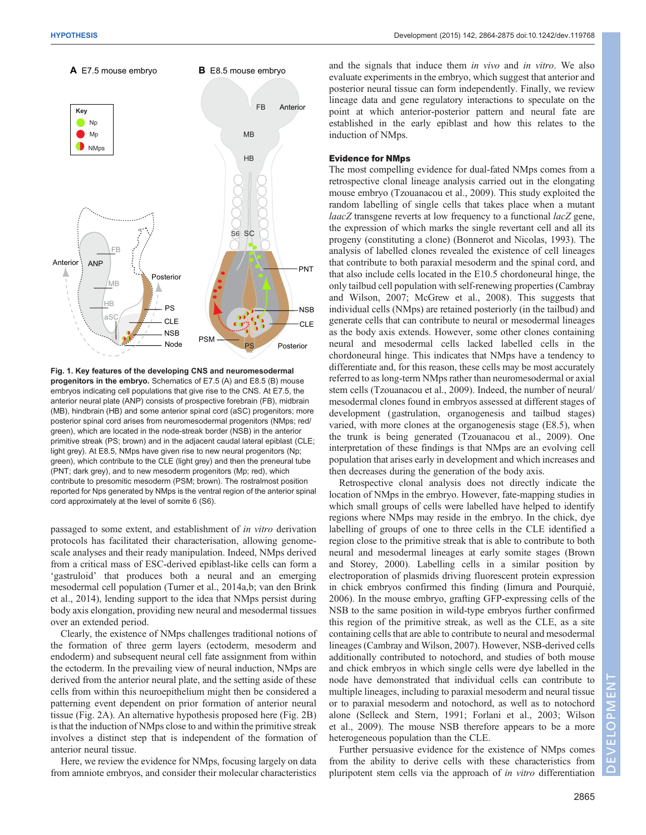<span id="page-1-0"></span>

Fig. 1. Key features of the developing CNS and neuromesodermal progenitors in the embryo. Schematics of E7.5 (A) and E8.5 (B) mouse embryos indicating cell populations that give rise to the CNS. At E7.5, the anterior neural plate (ANP) consists of prospective forebrain (FB), midbrain (MB), hindbrain (HB) and some anterior spinal cord (aSC) progenitors; more posterior spinal cord arises from neuromesodermal progenitors (NMps; red/ green), which are located in the node-streak border (NSB) in the anterior primitive streak (PS; brown) and in the adjacent caudal lateral epiblast (CLE; light grey). At E8.5, NMps have given rise to new neural progenitors (Np; green), which contribute to the CLE (light grey) and then the preneural tube (PNT; dark grey), and to new mesoderm progenitors (Mp; red), which contribute to presomitic mesoderm (PSM; brown). The rostralmost position reported for Nps generated by NMps is the ventral region of the anterior spinal cord approximately at the level of somite 6 (S6).

passaged to some extent, and establishment of in vitro derivation protocols has facilitated their characterisation, allowing genomescale analyses and their ready manipulation. Indeed, NMps derived from a critical mass of ESC-derived epiblast-like cells can form a 'gastruloid' that produces both a neural and an emerging mesodermal cell population ([Turner et al., 2014a](#page-10-0),[b; van den Brink](#page-10-0) [et al., 2014\)](#page-10-0), lending support to the idea that NMps persist during body axis elongation, providing new neural and mesodermal tissues over an extended period.

Clearly, the existence of NMps challenges traditional notions of the formation of three germ layers (ectoderm, mesoderm and endoderm) and subsequent neural cell fate assignment from within the ectoderm. In the prevailing view of neural induction, NMps are derived from the anterior neural plate, and the setting aside of these cells from within this neuroepithelium might then be considered a patterning event dependent on prior formation of anterior neural tissue ([Fig. 2A](#page-2-0)). An alternative hypothesis proposed here [\(Fig. 2B](#page-2-0)) is that the induction of NMps close to and within the primitive streak involves a distinct step that is independent of the formation of anterior neural tissue.

Here, we review the evidence for NMps, focusing largely on data from amniote embryos, and consider their molecular characteristics

and the signals that induce them *in vivo* and *in vitro*. We also evaluate experiments in the embryo, which suggest that anterior and posterior neural tissue can form independently. Finally, we review lineage data and gene regulatory interactions to speculate on the point at which anterior-posterior pattern and neural fate are established in the early epiblast and how this relates to the induction of NMps.

## Evidence for NMps

The most compelling evidence for dual-fated NMps comes from a retrospective clonal lineage analysis carried out in the elongating mouse embryo ([Tzouanacou et al., 2009\)](#page-10-0). This study exploited the random labelling of single cells that takes place when a mutant *laacZ* transgene reverts at low frequency to a functional *lacZ* gene, the expression of which marks the single revertant cell and all its progeny (constituting a clone) ([Bonnerot and Nicolas, 1993\)](#page-9-0). The analysis of labelled clones revealed the existence of cell lineages that contribute to both paraxial mesoderm and the spinal cord, and that also include cells located in the E10.5 chordoneural hinge, the only tailbud cell population with self-renewing properties ([Cambray](#page-9-0) [and Wilson, 2007](#page-9-0); [McGrew et al., 2008\)](#page-10-0). This suggests that individual cells (NMps) are retained posteriorly (in the tailbud) and generate cells that can contribute to neural or mesodermal lineages as the body axis extends. However, some other clones containing neural and mesodermal cells lacked labelled cells in the chordoneural hinge. This indicates that NMps have a tendency to differentiate and, for this reason, these cells may be most accurately referred to as long-term NMps rather than neuromesodermal or axial stem cells ([Tzouanacou et al., 2009\)](#page-10-0). Indeed, the number of neural/ mesodermal clones found in embryos assessed at different stages of development (gastrulation, organogenesis and tailbud stages) varied, with more clones at the organogenesis stage (E8.5), when the trunk is being generated [\(Tzouanacou et al., 2009](#page-10-0)). One interpretation of these findings is that NMps are an evolving cell population that arises early in development and which increases and then decreases during the generation of the body axis.

Retrospective clonal analysis does not directly indicate the location of NMps in the embryo. However, fate-mapping studies in which small groups of cells were labelled have helped to identify regions where NMps may reside in the embryo. In the chick, dye labelling of groups of one to three cells in the CLE identified a region close to the primitive streak that is able to contribute to both neural and mesodermal lineages at early somite stages ([Brown](#page-9-0) [and Storey, 2000\)](#page-9-0). Labelling cells in a similar position by electroporation of plasmids driving fluorescent protein expression in chick embryos confirmed this finding ([Iimura and Pourquié,](#page-9-0) [2006\)](#page-9-0). In the mouse embryo, grafting GFP-expressing cells of the NSB to the same position in wild-type embryos further confirmed this region of the primitive streak, as well as the CLE, as a site containing cells that are able to contribute to neural and mesodermal lineages ([Cambray and Wilson, 2007\)](#page-9-0). However, NSB-derived cells additionally contributed to notochord, and studies of both mouse and chick embryos in which single cells were dye labelled in the node have demonstrated that individual cells can contribute to multiple lineages, including to paraxial mesoderm and neural tissue or to paraxial mesoderm and notochord, as well as to notochord alone [\(Selleck and Stern, 1991;](#page-10-0) [Forlani et al., 2003;](#page-9-0) [Wilson](#page-11-0) [et al., 2009](#page-11-0)). The mouse NSB therefore appears to be a more heterogeneous population than the CLE.

Further persuasive evidence for the existence of NMps comes from the ability to derive cells with these characteristics from pluripotent stem cells via the approach of in vitro differentiation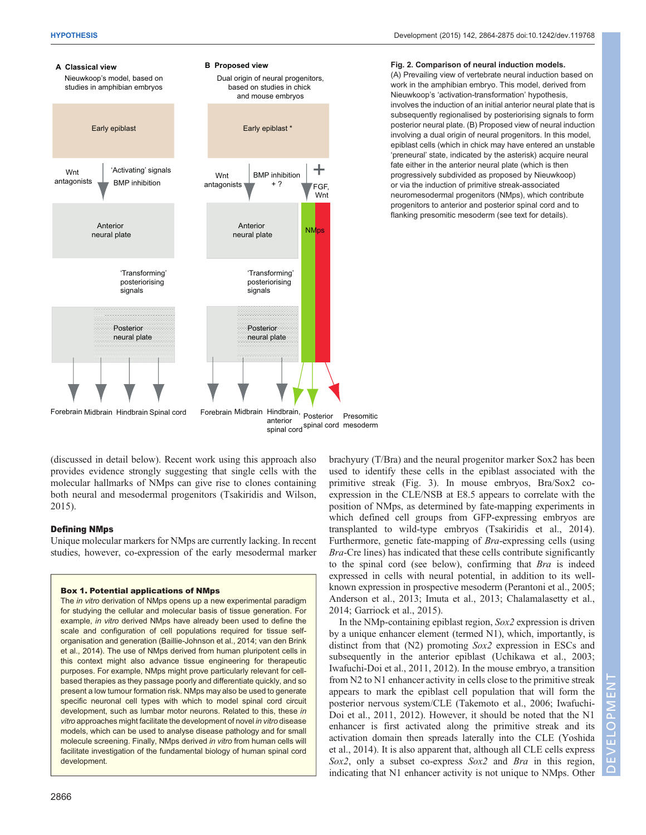<span id="page-2-0"></span>

#### Fig. 2. Comparison of neural induction models.

(A) Prevailing view of vertebrate neural induction based on work in the amphibian embryo. This model, derived from Nieuwkoop's 'activation-transformation' hypothesis, involves the induction of an initial anterior neural plate that is subsequently regionalised by posteriorising signals to form posterior neural plate. (B) Proposed view of neural induction involving a dual origin of neural progenitors. In this model, epiblast cells (which in chick may have entered an unstable 'preneural' state, indicated by the asterisk) acquire neural fate either in the anterior neural plate (which is then progressively subdivided as proposed by Nieuwkoop) or via the induction of primitive streak-associated neuromesodermal progenitors (NMps), which contribute progenitors to anterior and posterior spinal cord and to flanking presomitic mesoderm (see text for details).

Forebrain Midbrain Hindbrain, Posterior Presomitic anterior anterior<br>spinal cord spinal cord mesoderm Forebrain Midbrain Hindbrain Spinal cord

(discussed in detail below). Recent work using this approach also provides evidence strongly suggesting that single cells with the molecular hallmarks of NMps can give rise to clones containing both neural and mesodermal progenitors ([Tsakiridis and Wilson,](#page-10-0) [2015](#page-10-0)).

# Defining NMps

Unique molecular markers for NMps are currently lacking. In recent studies, however, co-expression of the early mesodermal marker

#### Box 1. Potential applications of NMps

The in vitro derivation of NMps opens up a new experimental paradigm for studying the cellular and molecular basis of tissue generation. For example, in vitro derived NMps have already been used to define the scale and configuration of cell populations required for tissue selforganisation and generation (Baillie-Johnson et al., 2014; [van den Brink](#page-10-0) [et al., 2014\)](#page-10-0). The use of NMps derived from human pluripotent cells in this context might also advance tissue engineering for therapeutic purposes. For example, NMps might prove particularly relevant for cellbased therapies as they passage poorly and differentiate quickly, and so present a low tumour formation risk. NMps may also be used to generate specific neuronal cell types with which to model spinal cord circuit development, such as lumbar motor neurons. Related to this, these in vitro approaches might facilitate the development of novel in vitro disease models, which can be used to analyse disease pathology and for small molecule screening. Finally, NMps derived in vitro from human cells will facilitate investigation of the fundamental biology of human spinal cord development.

brachyury (T/Bra) and the neural progenitor marker Sox2 has been used to identify these cells in the epiblast associated with the primitive streak [\(Fig. 3\)](#page-3-0). In mouse embryos, Bra/Sox2 coexpression in the CLE/NSB at E8.5 appears to correlate with the position of NMps, as determined by fate-mapping experiments in which defined cell groups from GFP-expressing embryos are transplanted to wild-type embryos [\(Tsakiridis et al., 2014\)](#page-10-0). Furthermore, genetic fate-mapping of Bra-expressing cells (using Bra-Cre lines) has indicated that these cells contribute significantly to the spinal cord (see below), confirming that Bra is indeed expressed in cells with neural potential, in addition to its wellknown expression in prospective mesoderm ([Perantoni et al., 2005](#page-10-0); [Anderson et al., 2013](#page-8-0); [Imuta et al., 2013](#page-9-0); [Chalamalasetty et al.,](#page-9-0) [2014; Garriock et al., 2015\)](#page-9-0).

In the NMp-containing epiblast region, Sox2 expression is driven by a unique enhancer element (termed N1), which, importantly, is distinct from that (N2) promoting Sox2 expression in ESCs and subsequently in the anterior epiblast ([Uchikawa et al., 2003](#page-10-0); [Iwafuchi-Doi et al., 2011, 2012](#page-9-0)). In the mouse embryo, a transition from N2 to N1 enhancer activity in cells close to the primitive streak appears to mark the epiblast cell population that will form the posterior nervous system/CLE [\(Takemoto et al., 2006;](#page-10-0) [Iwafuchi-](#page-9-0)[Doi et al., 2011](#page-9-0), [2012](#page-9-0)). However, it should be noted that the N1 enhancer is first activated along the primitive streak and its activation domain then spreads laterally into the CLE ([Yoshida](#page-11-0) [et al., 2014\)](#page-11-0). It is also apparent that, although all CLE cells express Sox2, only a subset co-express Sox2 and Bra in this region, indicating that N1 enhancer activity is not unique to NMps. Other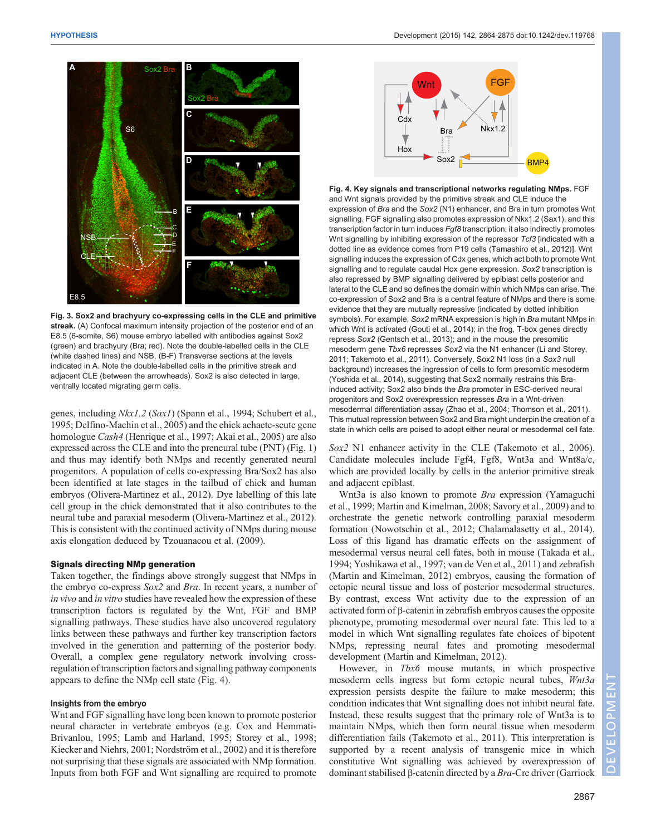<span id="page-3-0"></span>

Fig. 3. Sox2 and brachyury co-expressing cells in the CLE and primitive streak. (A) Confocal maximum intensity projection of the posterior end of an E8.5 (6-somite, S6) mouse embryo labelled with antibodies against Sox2 (green) and brachyury (Bra; red). Note the double-labelled cells in the CLE (white dashed lines) and NSB. (B-F) Transverse sections at the levels indicated in A. Note the double-labelled cells in the primitive streak and adjacent CLE (between the arrowheads). Sox2 is also detected in large, ventrally located migrating germ cells.

genes, including Nkx1.2 (Sax1) ([Spann et al., 1994; Schubert et al.,](#page-10-0) [1995](#page-10-0); [Delfino-Machin et al., 2005](#page-9-0)) and the chick achaete-scute gene homologue *Cash4* ([Henrique et al., 1997](#page-9-0); [Akai et al., 2005\)](#page-8-0) are also expressed across the CLE and into the preneural tube (PNT) [\(Fig. 1\)](#page-1-0) and thus may identify both NMps and recently generated neural progenitors. A population of cells co-expressing Bra/Sox2 has also been identified at late stages in the tailbud of chick and human embryos [\(Olivera-Martinez et al., 2012\)](#page-10-0). Dye labelling of this late cell group in the chick demonstrated that it also contributes to the neural tube and paraxial mesoderm [\(Olivera-Martinez et al., 2012\)](#page-10-0). This is consistent with the continued activity of NMps during mouse axis elongation deduced by [Tzouanacou et al. \(2009](#page-10-0)).

## Signals directing NMp generation

Taken together, the findings above strongly suggest that NMps in the embryo co-express Sox2 and Bra. In recent years, a number of in vivo and in vitro studies have revealed how the expression of these transcription factors is regulated by the Wnt, FGF and BMP signalling pathways. These studies have also uncovered regulatory links between these pathways and further key transcription factors involved in the generation and patterning of the posterior body. Overall, a complex gene regulatory network involving crossregulation of transcription factors and signalling pathway components appears to define the NMp cell state (Fig. 4).

## Insights from the embryo

Wnt and FGF signalling have long been known to promote posterior neural character in vertebrate embryos (e.g. [Cox and Hemmati-](#page-9-0)[Brivanlou, 1995](#page-9-0); [Lamb and Harland, 1995](#page-9-0); [Storey et al., 1998](#page-10-0); [Kiecker and Niehrs, 2001](#page-9-0); [Nordström et al., 2002](#page-10-0)) and it is therefore not surprising that these signals are associated with NMp formation. Inputs from both FGF and Wnt signalling are required to promote



Fig. 4. Key signals and transcriptional networks regulating NMps. FGF and Wnt signals provided by the primitive streak and CLE induce the expression of Bra and the Sox2 (N1) enhancer, and Bra in turn promotes Wnt signalling. FGF signalling also promotes expression of Nkx1.2 (Sax1), and this transcription factor in turn induces Fgf8 transcription; it also indirectly promotes Wnt signalling by inhibiting expression of the repressor Tcf3 [indicated with a dotted line as evidence comes from P19 cells [\(Tamashiro et al., 2012\)](#page-10-0)]. Wnt signalling induces the expression of Cdx genes, which act both to promote Wnt signalling and to regulate caudal Hox gene expression. Sox2 transcription is also repressed by BMP signalling delivered by epiblast cells posterior and lateral to the CLE and so defines the domain within which NMps can arise. The co-expression of Sox2 and Bra is a central feature of NMps and there is some evidence that they are mutually repressive (indicated by dotted inhibition symbols). For example, Sox2 mRNA expression is high in Bra mutant NMps in which Wnt is activated ([Gouti et al., 2014\)](#page-9-0); in the frog, T-box genes directly repress Sox2 [\(Gentsch et al., 2013\)](#page-9-0); and in the mouse the presomitic mesoderm gene Tbx6 represses Sox2 via the N1 enhancer [\(Li and Storey,](#page-9-0) [2011;](#page-9-0) [Takemoto et al., 2011](#page-10-0)). Conversely, Sox2 N1 loss (in a Sox3 null background) increases the ingression of cells to form presomitic mesoderm [\(Yoshida et al., 2014](#page-11-0)), suggesting that Sox2 normally restrains this Brainduced activity; Sox2 also binds the Bra promoter in ESC-derived neural progenitors and Sox2 overexpression represses Bra in a Wnt-driven mesodermal differentiation assay [\(Zhao et al., 2004](#page-11-0); [Thomson et al., 2011](#page-10-0)). This mutual repression between Sox2 and Bra might underpin the creation of a state in which cells are poised to adopt either neural or mesodermal cell fate.

Sox2 N1 enhancer activity in the CLE [\(Takemoto et al., 2006\)](#page-10-0). Candidate molecules include Fgf4, Fgf8, Wnt3a and Wnt8a/c, which are provided locally by cells in the anterior primitive streak and adjacent epiblast.

Wnt3a is also known to promote *Bra* expression ([Yamaguchi](#page-11-0) [et al., 1999;](#page-11-0) [Martin and Kimelman, 2008](#page-9-0); [Savory et al., 2009](#page-10-0)) and to orchestrate the genetic network controlling paraxial mesoderm formation [\(Nowotschin et al., 2012;](#page-10-0) [Chalamalasetty et al., 2014\)](#page-9-0). Loss of this ligand has dramatic effects on the assignment of mesodermal versus neural cell fates, both in mouse ([Takada et al.,](#page-10-0) [1994;](#page-10-0) [Yoshikawa et al., 1997](#page-11-0); [van de Ven et al., 2011](#page-10-0)) and zebrafish [\(Martin and Kimelman, 2012](#page-9-0)) embryos, causing the formation of ectopic neural tissue and loss of posterior mesodermal structures. By contrast, excess Wnt activity due to the expression of an activated form of β-catenin in zebrafish embryos causes the opposite phenotype, promoting mesodermal over neural fate. This led to a model in which Wnt signalling regulates fate choices of bipotent NMps, repressing neural fates and promoting mesodermal development ([Martin and Kimelman, 2012](#page-9-0)).

However, in Tbx6 mouse mutants, in which prospective mesoderm cells ingress but form ectopic neural tubes, Wnt3a expression persists despite the failure to make mesoderm; this condition indicates that Wnt signalling does not inhibit neural fate. Instead, these results suggest that the primary role of Wnt3a is to maintain NMps, which then form neural tissue when mesoderm differentiation fails ([Takemoto et al., 2011\)](#page-10-0). This interpretation is supported by a recent analysis of transgenic mice in which constitutive Wnt signalling was achieved by overexpression of dominant stabilised β-catenin directed by a Bra-Cre driver ([Garriock](#page-9-0)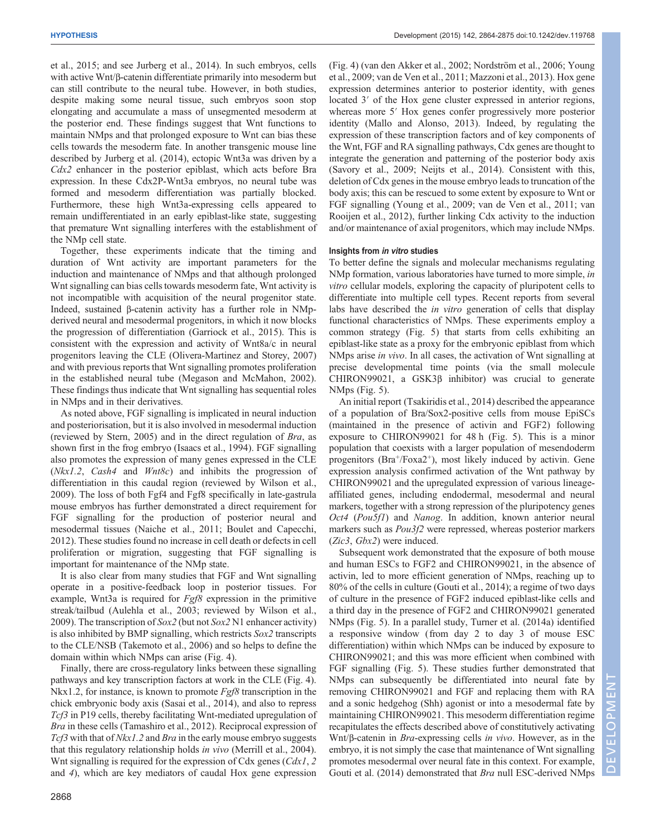[et al., 2015;](#page-9-0) and see [Jurberg et al., 2014\)](#page-9-0). In such embryos, cells with active Wnt/β-catenin differentiate primarily into mesoderm but can still contribute to the neural tube. However, in both studies, despite making some neural tissue, such embryos soon stop elongating and accumulate a mass of unsegmented mesoderm at the posterior end. These findings suggest that Wnt functions to maintain NMps and that prolonged exposure to Wnt can bias these cells towards the mesoderm fate. In another transgenic mouse line described by [Jurberg et al. \(2014\)](#page-9-0), ectopic Wnt3a was driven by a  $Cdx^2$  enhancer in the posterior epiblast, which acts before Bra expression. In these Cdx2P-Wnt3a embryos, no neural tube was formed and mesoderm differentiation was partially blocked. Furthermore, these high Wnt3a-expressing cells appeared to remain undifferentiated in an early epiblast-like state, suggesting that premature Wnt signalling interferes with the establishment of the NMp cell state.

Together, these experiments indicate that the timing and duration of Wnt activity are important parameters for the induction and maintenance of NMps and that although prolonged Wnt signalling can bias cells towards mesoderm fate, Wnt activity is not incompatible with acquisition of the neural progenitor state. Indeed, sustained β-catenin activity has a further role in NMpderived neural and mesodermal progenitors, in which it now blocks the progression of differentiation [\(Garriock et al., 2015](#page-9-0)). This is consistent with the expression and activity of Wnt8a/c in neural progenitors leaving the CLE ([Olivera-Martinez and Storey, 2007\)](#page-10-0) and with previous reports that Wnt signalling promotes proliferation in the established neural tube [\(Megason and McMahon, 2002\)](#page-10-0). These findings thus indicate that Wnt signalling has sequential roles in NMps and in their derivatives.

As noted above, FGF signalling is implicated in neural induction and posteriorisation, but it is also involved in mesodermal induction (reviewed by [Stern, 2005\)](#page-10-0) and in the direct regulation of Bra, as shown first in the frog embryo [\(Isaacs et al., 1994](#page-9-0)). FGF signalling also promotes the expression of many genes expressed in the CLE  $(Nkx1.2, Cash4$  and  $Wnt8c)$  and inhibits the progression of differentiation in this caudal region (reviewed by [Wilson et al.,](#page-11-0) [2009](#page-11-0)). The loss of both Fgf4 and Fgf8 specifically in late-gastrula mouse embryos has further demonstrated a direct requirement for FGF signalling for the production of posterior neural and mesodermal tissues ([Naiche et al., 2011;](#page-10-0) [Boulet and Capecchi,](#page-9-0) [2012](#page-9-0)). These studies found no increase in cell death or defects in cell proliferation or migration, suggesting that FGF signalling is important for maintenance of the NMp state.

It is also clear from many studies that FGF and Wnt signalling operate in a positive-feedback loop in posterior tissues. For example, Wnt3a is required for  $Fgf8$  expression in the primitive streak/tailbud (Aulehla et al., 2003; reviewed by [Wilson et al.,](#page-11-0) [2009](#page-11-0)). The transcription of Sox2 (but not Sox2 N1 enhancer activity) is also inhibited by BMP signalling, which restricts Sox2 transcripts to the CLE/NSB ([Takemoto et al., 2006](#page-10-0)) and so helps to define the domain within which NMps can arise ([Fig. 4](#page-3-0)).

Finally, there are cross-regulatory links between these signalling pathways and key transcription factors at work in the CLE [\(Fig. 4\)](#page-3-0). Nkx1.2, for instance, is known to promote  $Fg/8$  transcription in the chick embryonic body axis [\(Sasai et al., 2014](#page-10-0)), and also to repress Tcf3 in P19 cells, thereby facilitating Wnt-mediated upregulation of Bra in these cells [\(Tamashiro et al., 2012](#page-10-0)). Reciprocal expression of  $Tcf3$  with that of  $Nkx1.2$  and  $Bra$  in the early mouse embryo suggests that this regulatory relationship holds in vivo (Merrill et al., 2004). Wnt signalling is required for the expression of Cdx genes  $(Cdx1, 2)$ and 4), which are key mediators of caudal Hox gene expression

[\(Fig. 4\)](#page-3-0) [\(van den Akker et al., 2002](#page-10-0); [Nordström et al., 2006;](#page-10-0) [Young](#page-11-0) [et al., 2009;](#page-11-0) [van de Ven et al., 2011](#page-10-0); [Mazzoni et al., 2013\)](#page-10-0). Hox gene expression determines anterior to posterior identity, with genes located 3′ of the Hox gene cluster expressed in anterior regions, whereas more 5′ Hox genes confer progressively more posterior identity [\(Mallo and Alonso, 2013](#page-9-0)). Indeed, by regulating the expression of these transcription factors and of key components of the Wnt, FGF and RA signalling pathways, Cdx genes are thought to integrate the generation and patterning of the posterior body axis [\(Savory et al., 2009](#page-10-0); [Neijts et al., 2014\)](#page-10-0). Consistent with this, deletion of Cdx genes in the mouse embryo leads to truncation of the body axis; this can be rescued to some extent by exposure to Wnt or FGF signalling ([Young et al., 2009;](#page-11-0) [van de Ven et al., 2011;](#page-10-0) [van](#page-11-0) [Rooijen et al., 2012\)](#page-11-0), further linking Cdx activity to the induction and/or maintenance of axial progenitors, which may include NMps.

### Insights from in vitro studies

To better define the signals and molecular mechanisms regulating NMp formation, various laboratories have turned to more simple, in vitro cellular models, exploring the capacity of pluripotent cells to differentiate into multiple cell types. Recent reports from several labs have described the *in vitro* generation of cells that display functional characteristics of NMps. These experiments employ a common strategy [\(Fig. 5](#page-5-0)) that starts from cells exhibiting an epiblast-like state as a proxy for the embryonic epiblast from which NMps arise in vivo. In all cases, the activation of Wnt signalling at precise developmental time points (via the small molecule CHIRON99021, a GSK3β inhibitor) was crucial to generate NMps [\(Fig. 5\)](#page-5-0).

An initial report ([Tsakiridis et al., 2014\)](#page-10-0) described the appearance of a population of Bra/Sox2-positive cells from mouse EpiSCs (maintained in the presence of activin and FGF2) following exposure to CHIRON99021 for 48 h [\(Fig. 5\)](#page-5-0). This is a minor population that coexists with a larger population of mesendoderm progenitors (Bra<sup>+</sup>/Foxa2<sup>+</sup>), most likely induced by activin. Gene expression analysis confirmed activation of the Wnt pathway by CHIRON99021 and the upregulated expression of various lineageaffiliated genes, including endodermal, mesodermal and neural markers, together with a strong repression of the pluripotency genes Oct4 (Pou5f1) and Nanog. In addition, known anterior neural markers such as Pou3f2 were repressed, whereas posterior markers (Zic3, Gbx2) were induced.

Subsequent work demonstrated that the exposure of both mouse and human ESCs to FGF2 and CHIRON99021, in the absence of activin, led to more efficient generation of NMps, reaching up to 80% of the cells in culture [\(Gouti et al., 2014](#page-9-0)); a regime of two days of culture in the presence of FGF2 induced epiblast-like cells and a third day in the presence of FGF2 and CHIRON99021 generated NMps ([Fig. 5](#page-5-0)). In a parallel study, [Turner et al. \(2014a](#page-10-0)) identified a responsive window (from day 2 to day 3 of mouse ESC differentiation) within which NMps can be induced by exposure to CHIRON99021; and this was more efficient when combined with FGF signalling [\(Fig. 5\)](#page-5-0). These studies further demonstrated that NMps can subsequently be differentiated into neural fate by removing CHIRON99021 and FGF and replacing them with RA and a sonic hedgehog (Shh) agonist or into a mesodermal fate by maintaining CHIRON99021. This mesoderm differentiation regime recapitulates the effects described above of constitutively activating Wnt/β-catenin in Bra-expressing cells in vivo. However, as in the embryo, it is not simply the case that maintenance of Wnt signalling promotes mesodermal over neural fate in this context. For example, [Gouti et al. \(2014\)](#page-9-0) demonstrated that Bra null ESC-derived NMps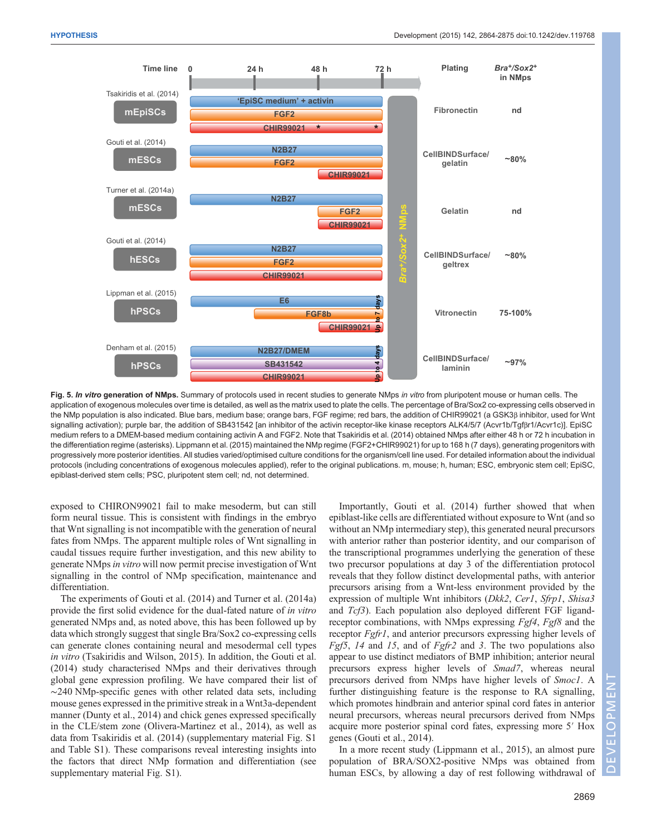<span id="page-5-0"></span>

Fig. 5. In vitro generation of NMps. Summary of protocols used in recent studies to generate NMps in vitro from pluripotent mouse or human cells. The application of exogenous molecules over time is detailed, as well as the matrix used to plate the cells. The percentage of Bra/Sox2 co-expressing cells observed in the NMp population is also indicated. Blue bars, medium base; orange bars, FGF regime; red bars, the addition of CHIR99021 (a GSK3β inhibitor, used for Wnt signalling activation); purple bar, the addition of SB431542 [an inhibitor of the activin receptor-like kinase receptors ALK4/5/7 (Acvr1b/Tgfβr1/Acvr1c)]. EpiSC medium refers to a DMEM-based medium containing activin A and FGF2. Note that [Tsakiridis et al. \(2014\)](#page-10-0) obtained NMps after either 48 h or 72 h incubation in the differentiation regime (asterisks). [Lippmann et al. \(2015\)](#page-9-0) maintained the NMp regime (FGF2+CHIR99021) for up to 168 h (7 days), generating progenitors with progressively more posterior identities. All studies varied/optimised culture conditions for the organism/cell line used. For detailed information about the individual protocols (including concentrations of exogenous molecules applied), refer to the original publications. m, mouse; h, human; ESC, embryonic stem cell; EpiSC, epiblast-derived stem cells; PSC, pluripotent stem cell; nd, not determined.

exposed to CHIRON99021 fail to make mesoderm, but can still form neural tissue. This is consistent with findings in the embryo that Wnt signalling is not incompatible with the generation of neural fates from NMps. The apparent multiple roles of Wnt signalling in caudal tissues require further investigation, and this new ability to generate NMps in vitro will now permit precise investigation of Wnt signalling in the control of NMp specification, maintenance and differentiation.

The experiments of [Gouti et al. \(2014](#page-9-0)) and [Turner et al. \(2014a\)](#page-10-0) provide the first solid evidence for the dual-fated nature of in vitro generated NMps and, as noted above, this has been followed up by data which strongly suggest that single Bra/Sox2 co-expressing cells can generate clones containing neural and mesodermal cell types in vitro [\(Tsakiridis and Wilson, 2015\)](#page-10-0). In addition, the [Gouti et al.](#page-9-0) [\(2014](#page-9-0)) study characterised NMps and their derivatives through global gene expression profiling. We have compared their list of ∼240 NMp-specific genes with other related data sets, including mouse genes expressed in the primitive streak in a Wnt3a-dependent manner ([Dunty et al., 2014\)](#page-9-0) and chick genes expressed specifically in the CLE/stem zone ([Olivera-Martinez et al., 2014](#page-10-0)), as well as data from [Tsakiridis et al. \(2014](#page-10-0)) [\(supplementary material Fig. S1](http://dev.biologists.org/lookup/suppl/doi:10.1242/dev.119768/-/DC1) [and Table S1](http://dev.biologists.org/lookup/suppl/doi:10.1242/dev.119768/-/DC1)). These comparisons reveal interesting insights into the factors that direct NMp formation and differentiation (see [supplementary material Fig. S1\)](http://dev.biologists.org/lookup/suppl/doi:10.1242/dev.119768/-/DC1).

Importantly, [Gouti et al. \(2014\)](#page-9-0) further showed that when epiblast-like cells are differentiated without exposure to Wnt (and so without an NMp intermediary step), this generated neural precursors with anterior rather than posterior identity, and our comparison of the transcriptional programmes underlying the generation of these two precursor populations at day 3 of the differentiation protocol reveals that they follow distinct developmental paths, with anterior precursors arising from a Wnt-less environment provided by the expression of multiple Wnt inhibitors (Dkk2, Cer1, Sfrp1, Shisa3 and *Tcf3*). Each population also deployed different FGF ligandreceptor combinations, with NMps expressing *Fgf4*, *Fgf8* and the receptor Fgfr1, and anterior precursors expressing higher levels of Fgf5, 14 and 15, and of Fgfr2 and 3. The two populations also appear to use distinct mediators of BMP inhibition; anterior neural precursors express higher levels of Smad7, whereas neural precursors derived from NMps have higher levels of Smoc1. A further distinguishing feature is the response to RA signalling, which promotes hindbrain and anterior spinal cord fates in anterior neural precursors, whereas neural precursors derived from NMps acquire more posterior spinal cord fates, expressing more 5′ Hox genes [\(Gouti et al., 2014\)](#page-9-0).

In a more recent study ([Lippmann et al., 2015](#page-9-0)), an almost pure population of BRA/SOX2-positive NMps was obtained from human ESCs, by allowing a day of rest following withdrawal of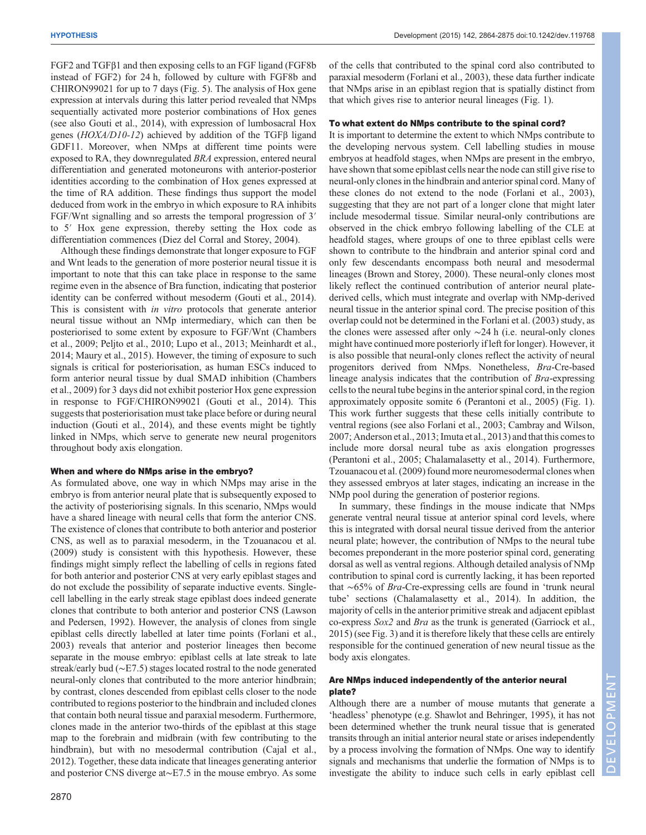FGF2 and TGFβ1 and then exposing cells to an FGF ligand (FGF8b instead of FGF2) for 24 h, followed by culture with FGF8b and CHIRON99021 for up to 7 days [\(Fig. 5](#page-5-0)). The analysis of Hox gene expression at intervals during this latter period revealed that NMps sequentially activated more posterior combinations of Hox genes (see also [Gouti et al., 2014\)](#page-9-0), with expression of lumbosacral Hox genes (HOXA/D10-12) achieved by addition of the TGFβ ligand GDF11. Moreover, when NMps at different time points were exposed to RA, they downregulated BRA expression, entered neural differentiation and generated motoneurons with anterior-posterior identities according to the combination of Hox genes expressed at the time of RA addition. These findings thus support the model deduced from work in the embryo in which exposure to RA inhibits FGF/Wnt signalling and so arrests the temporal progression of 3′ to 5′ Hox gene expression, thereby setting the Hox code as differentiation commences [\(Diez del Corral and Storey, 2004](#page-9-0)).

Although these findings demonstrate that longer exposure to FGF and Wnt leads to the generation of more posterior neural tissue it is important to note that this can take place in response to the same regime even in the absence of Bra function, indicating that posterior identity can be conferred without mesoderm ([Gouti et al., 2014\)](#page-9-0). This is consistent with in vitro protocols that generate anterior neural tissue without an NMp intermediary, which can then be posteriorised to some extent by exposure to FGF/Wnt ([Chambers](#page-9-0) [et al., 2009](#page-9-0); [Peljto et al., 2010](#page-10-0); [Lupo et al., 2013](#page-9-0); [Meinhardt et al.,](#page-10-0) [2014](#page-10-0); [Maury et al., 2015\)](#page-9-0). However, the timing of exposure to such signals is critical for posteriorisation, as human ESCs induced to form anterior neural tissue by dual SMAD inhibition ([Chambers](#page-9-0) [et al., 2009\)](#page-9-0) for 3 days did not exhibit posterior Hox gene expression in response to FGF/CHIRON99021 ([Gouti et al., 2014\)](#page-9-0). This suggests that posteriorisation must take place before or during neural induction [\(Gouti et al., 2014](#page-9-0)), and these events might be tightly linked in NMps, which serve to generate new neural progenitors throughout body axis elongation.

## When and where do NMps arise in the embryo?

As formulated above, one way in which NMps may arise in the embryo is from anterior neural plate that is subsequently exposed to the activity of posteriorising signals. In this scenario, NMps would have a shared lineage with neural cells that form the anterior CNS. The existence of clones that contribute to both anterior and posterior CNS, as well as to paraxial mesoderm, in the [Tzouanacou et al.](#page-10-0) [\(2009](#page-10-0)) study is consistent with this hypothesis. However, these findings might simply reflect the labelling of cells in regions fated for both anterior and posterior CNS at very early epiblast stages and do not exclude the possibility of separate inductive events. Singlecell labelling in the early streak stage epiblast does indeed generate clones that contribute to both anterior and posterior CNS [\(Lawson](#page-9-0) [and Pedersen, 1992\)](#page-9-0). However, the analysis of clones from single epiblast cells directly labelled at later time points [\(Forlani et al.,](#page-9-0) [2003](#page-9-0)) reveals that anterior and posterior lineages then become separate in the mouse embryo: epiblast cells at late streak to late streak/early bud (∼E7.5) stages located rostral to the node generated neural-only clones that contributed to the more anterior hindbrain; by contrast, clones descended from epiblast cells closer to the node contributed to regions posterior to the hindbrain and included clones that contain both neural tissue and paraxial mesoderm. Furthermore, clones made in the anterior two-thirds of the epiblast at this stage map to the forebrain and midbrain (with few contributing to the hindbrain), but with no mesodermal contribution [\(Cajal et al.,](#page-9-0) [2012](#page-9-0)). Together, these data indicate that lineages generating anterior and posterior CNS diverge at∼E7.5 in the mouse embryo. As some

of the cells that contributed to the spinal cord also contributed to paraxial mesoderm ([Forlani et al., 2003\)](#page-9-0), these data further indicate that NMps arise in an epiblast region that is spatially distinct from that which gives rise to anterior neural lineages [\(Fig. 1](#page-1-0)).

## To what extent do NMps contribute to the spinal cord?

It is important to determine the extent to which NMps contribute to the developing nervous system. Cell labelling studies in mouse embryos at headfold stages, when NMps are present in the embryo, have shown that some epiblast cells near the node can still give rise to neural-only clones in the hindbrain and anterior spinal cord. Many of these clones do not extend to the node [\(Forlani et al., 2003\)](#page-9-0), suggesting that they are not part of a longer clone that might later include mesodermal tissue. Similar neural-only contributions are observed in the chick embryo following labelling of the CLE at headfold stages, where groups of one to three epiblast cells were shown to contribute to the hindbrain and anterior spinal cord and only few descendants encompass both neural and mesodermal lineages [\(Brown and Storey, 2000\)](#page-9-0). These neural-only clones most likely reflect the continued contribution of anterior neural platederived cells, which must integrate and overlap with NMp-derived neural tissue in the anterior spinal cord. The precise position of this overlap could not be determined in the [Forlani et al. \(2003\)](#page-9-0) study, as the clones were assessed after only ∼24 h (i.e. neural-only clones might have continued more posteriorly if left for longer). However, it is also possible that neural-only clones reflect the activity of neural progenitors derived from NMps. Nonetheless, Bra-Cre-based lineage analysis indicates that the contribution of Bra-expressing cells to the neural tube begins in the anterior spinal cord, in the region approximately opposite somite 6 ([Perantoni et al., 2005](#page-10-0)) ([Fig. 1\)](#page-1-0). This work further suggests that these cells initially contribute to ventral regions (see also [Forlani et al., 2003; Cambray and Wilson,](#page-9-0) [2007;](#page-9-0) [Anderson et al., 2013;](#page-8-0) [Imuta et al., 2013](#page-9-0)) and that this comes to include more dorsal neural tube as axis elongation progresses [\(Perantoni et al., 2005;](#page-10-0) [Chalamalasetty et al., 2014\)](#page-9-0). Furthermore, [Tzouanacou et al. \(2009](#page-10-0)) found more neuromesodermal clones when they assessed embryos at later stages, indicating an increase in the NMp pool during the generation of posterior regions.

In summary, these findings in the mouse indicate that NMps generate ventral neural tissue at anterior spinal cord levels, where this is integrated with dorsal neural tissue derived from the anterior neural plate; however, the contribution of NMps to the neural tube becomes preponderant in the more posterior spinal cord, generating dorsal as well as ventral regions. Although detailed analysis of NMp contribution to spinal cord is currently lacking, it has been reported that ∼65% of Bra-Cre-expressing cells are found in 'trunk neural tube' sections [\(Chalamalasetty et al., 2014\)](#page-9-0). In addition, the majority of cells in the anterior primitive streak and adjacent epiblast co-express Sox2 and Bra as the trunk is generated [\(Garriock et al.,](#page-9-0) [2015\)](#page-9-0) (see [Fig. 3](#page-3-0)) and it is therefore likely that these cells are entirely responsible for the continued generation of new neural tissue as the body axis elongates.

# Are NMps induced independently of the anterior neural plate?

Although there are a number of mouse mutants that generate a 'headless' phenotype (e.g. [Shawlot and Behringer, 1995](#page-10-0)), it has not been determined whether the trunk neural tissue that is generated transits through an initial anterior neural state or arises independently by a process involving the formation of NMps. One way to identify signals and mechanisms that underlie the formation of NMps is to investigate the ability to induce such cells in early epiblast cell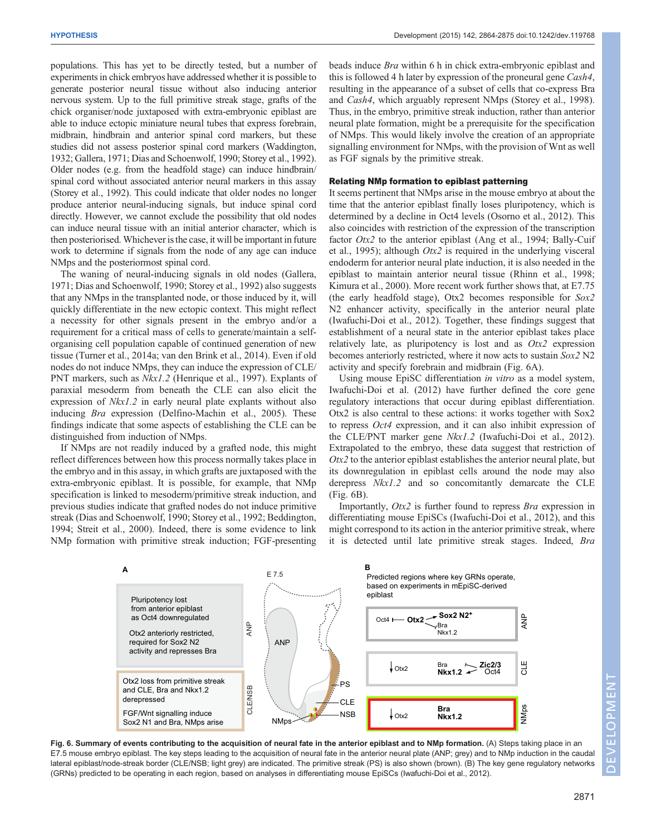<span id="page-7-0"></span>populations. This has yet to be directly tested, but a number of experiments in chick embryos have addressed whether it is possible to generate posterior neural tissue without also inducing anterior nervous system. Up to the full primitive streak stage, grafts of the chick organiser/node juxtaposed with extra-embryonic epiblast are able to induce ectopic miniature neural tubes that express forebrain, midbrain, hindbrain and anterior spinal cord markers, but these studies did not assess posterior spinal cord markers [\(Waddington,](#page-11-0) [1932;](#page-11-0) [Gallera, 1971](#page-9-0); [Dias and Schoenwolf, 1990](#page-9-0); [Storey et al., 1992\)](#page-10-0). Older nodes (e.g. from the headfold stage) can induce hindbrain/ spinal cord without associated anterior neural markers in this assay [\(Storey et al., 1992](#page-10-0)). This could indicate that older nodes no longer produce anterior neural-inducing signals, but induce spinal cord directly. However, we cannot exclude the possibility that old nodes can induce neural tissue with an initial anterior character, which is then posteriorised. Whichever is the case, it will be important in future work to determine if signals from the node of any age can induce NMps and the posteriormost spinal cord.

The waning of neural-inducing signals in old nodes [\(Gallera,](#page-9-0) [1971](#page-9-0); [Dias and Schoenwolf, 1990;](#page-9-0) [Storey et al., 1992](#page-10-0)) also suggests that any NMps in the transplanted node, or those induced by it, will quickly differentiate in the new ectopic context. This might reflect a necessity for other signals present in the embryo and/or a requirement for a critical mass of cells to generate/maintain a selforganising cell population capable of continued generation of new tissue ([Turner et al., 2014a](#page-10-0); [van den Brink et al., 2014\)](#page-10-0). Even if old nodes do not induce NMps, they can induce the expression of CLE/ PNT markers, such as  $Nkx1.2$  [\(Henrique et al., 1997](#page-9-0)). Explants of paraxial mesoderm from beneath the CLE can also elicit the expression of Nkx1.2 in early neural plate explants without also inducing Bra expression ([Delfino-Machin et al., 2005\)](#page-9-0). These findings indicate that some aspects of establishing the CLE can be distinguished from induction of NMps.

If NMps are not readily induced by a grafted node, this might reflect differences between how this process normally takes place in the embryo and in this assay, in which grafts are juxtaposed with the extra-embryonic epiblast. It is possible, for example, that NMp specification is linked to mesoderm/primitive streak induction, and previous studies indicate that grafted nodes do not induce primitive streak ([Dias and Schoenwolf, 1990;](#page-9-0) [Storey et al., 1992;](#page-10-0) [Beddington,](#page-9-0) [1994](#page-9-0); [Streit et al., 2000](#page-10-0)). Indeed, there is some evidence to link NMp formation with primitive streak induction; FGF-presenting

beads induce Bra within 6 h in chick extra-embryonic epiblast and this is followed 4 h later by expression of the proneural gene Cash4, resulting in the appearance of a subset of cells that co-express Bra and Cash4, which arguably represent NMps ([Storey et al., 1998\)](#page-10-0). Thus, in the embryo, primitive streak induction, rather than anterior neural plate formation, might be a prerequisite for the specification of NMps. This would likely involve the creation of an appropriate signalling environment for NMps, with the provision of Wnt as well as FGF signals by the primitive streak.

## Relating NMp formation to epiblast patterning

It seems pertinent that NMps arise in the mouse embryo at about the time that the anterior epiblast finally loses pluripotency, which is determined by a decline in Oct4 levels [\(Osorno et al., 2012\)](#page-10-0). This also coincides with restriction of the expression of the transcription factor  $Otx2$  to the anterior epiblast [\(Ang et al., 1994; Bally-Cuif](#page-9-0) [et al., 1995\)](#page-9-0); although  $Otx2$  is required in the underlying visceral endoderm for anterior neural plate induction, it is also needed in the epiblast to maintain anterior neural tissue ([Rhinn et al., 1998](#page-10-0); [Kimura et al., 2000](#page-9-0)). More recent work further shows that, at E7.75 (the early headfold stage), Otx2 becomes responsible for Sox2 N2 enhancer activity, specifically in the anterior neural plate [\(Iwafuchi-Doi et al., 2012\)](#page-9-0). Together, these findings suggest that establishment of a neural state in the anterior epiblast takes place relatively late, as pluripotency is lost and as  $Otx2$  expression becomes anteriorly restricted, where it now acts to sustain Sox2 N2 activity and specify forebrain and midbrain (Fig. 6A).

Using mouse EpiSC differentiation in vitro as a model system, [Iwafuchi-Doi et al. \(2012\)](#page-9-0) have further defined the core gene regulatory interactions that occur during epiblast differentiation. Otx2 is also central to these actions: it works together with Sox2 to repress Oct4 expression, and it can also inhibit expression of the CLE/PNT marker gene Nkx1.2 ([Iwafuchi-Doi et al., 2012\)](#page-9-0). Extrapolated to the embryo, these data suggest that restriction of  $Otx2$  to the anterior epiblast establishes the anterior neural plate, but its downregulation in epiblast cells around the node may also derepress Nkx1.2 and so concomitantly demarcate the CLE (Fig. 6B).

Importantly,  $Otx2$  is further found to repress  $Bra$  expression in differentiating mouse EpiSCs ([Iwafuchi-Doi et al., 2012\)](#page-9-0), and this might correspond to its action in the anterior primitive streak, where it is detected until late primitive streak stages. Indeed, Bra



Fig. 6. Summary of events contributing to the acquisition of neural fate in the anterior epiblast and to NMp formation. (A) Steps taking place in an E7.5 mouse embryo epiblast. The key steps leading to the acquisition of neural fate in the anterior neural plate (ANP; grey) and to NMp induction in the caudal lateral epiblast/node-streak border (CLE/NSB; light grey) are indicated. The primitive streak (PS) is also shown (brown). (B) The key gene regulatory networks (GRNs) predicted to be operating in each region, based on analyses in differentiating mouse EpiSCs [\(Iwafuchi-Doi et al., 2012\)](#page-9-0).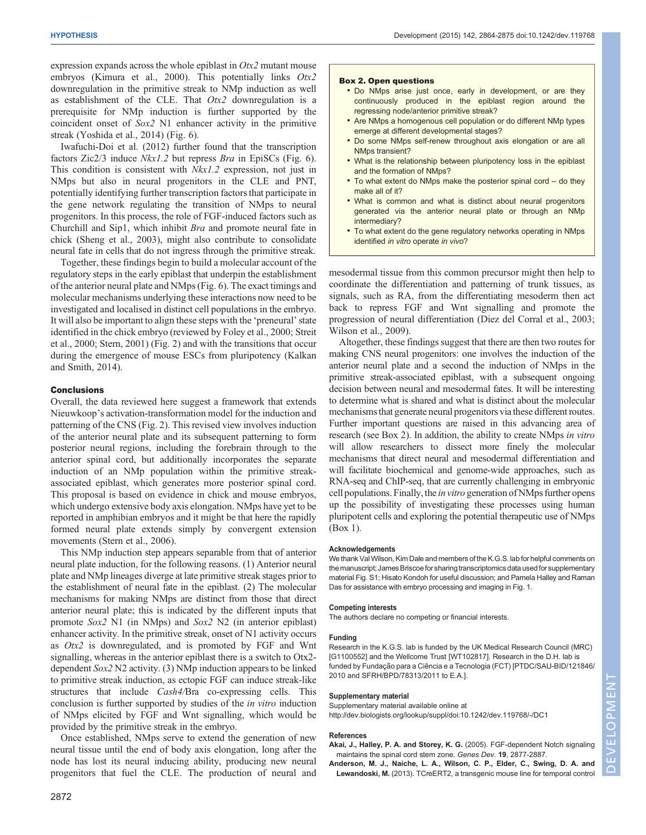<span id="page-8-0"></span>expression expands across the whole epiblast in  $Otx2$  mutant mouse embryos ([Kimura et al., 2000](#page-9-0)). This potentially links  $Otx2$ downregulation in the primitive streak to NMp induction as well as establishment of the CLE. That  $Otx2$  downregulation is a prerequisite for NMp induction is further supported by the coincident onset of Sox2 N1 enhancer activity in the primitive streak ([Yoshida et al., 2014](#page-11-0)) [\(Fig. 6\)](#page-7-0).

[Iwafuchi-Doi et al. \(2012](#page-9-0)) further found that the transcription factors Zic2/3 induce *Nkx1.2* but repress *Bra* in EpiSCs [\(Fig. 6\)](#page-7-0). This condition is consistent with Nkx1.2 expression, not just in NMps but also in neural progenitors in the CLE and PNT, potentially identifying further transcription factors that participate in the gene network regulating the transition of NMps to neural progenitors. In this process, the role of FGF-induced factors such as Churchill and Sip1, which inhibit Bra and promote neural fate in chick ([Sheng et al., 2003\)](#page-10-0), might also contribute to consolidate neural fate in cells that do not ingress through the primitive streak.

Together, these findings begin to build a molecular account of the regulatory steps in the early epiblast that underpin the establishment of the anterior neural plate and NMps [\(Fig. 6\)](#page-7-0). The exact timings and molecular mechanisms underlying these interactions now need to be investigated and localised in distinct cell populations in the embryo. It will also be important to align these steps with the 'preneural' state identified in the chick embryo (reviewed by [Foley et al., 2000](#page-9-0); [Streit](#page-10-0) [et al., 2000; Stern, 2001\)](#page-10-0) [\(Fig. 2](#page-2-0)) and with the transitions that occur during the emergence of mouse ESCs from pluripotency ([Kalkan](#page-9-0) [and Smith, 2014\)](#page-9-0).

## **Conclusions**

Overall, the data reviewed here suggest a framework that extends Nieuwkoop's activation-transformation model for the induction and patterning of the CNS [\(Fig. 2\)](#page-2-0). This revised view involves induction of the anterior neural plate and its subsequent patterning to form posterior neural regions, including the forebrain through to the anterior spinal cord, but additionally incorporates the separate induction of an NMp population within the primitive streakassociated epiblast, which generates more posterior spinal cord. This proposal is based on evidence in chick and mouse embryos, which undergo extensive body axis elongation. NMps have yet to be reported in amphibian embryos and it might be that here the rapidly formed neural plate extends simply by convergent extension movements ([Stern et al., 2006\)](#page-10-0).

This NMp induction step appears separable from that of anterior neural plate induction, for the following reasons. (1) Anterior neural plate and NMp lineages diverge at late primitive streak stages prior to the establishment of neural fate in the epiblast. (2) The molecular mechanisms for making NMps are distinct from those that direct anterior neural plate; this is indicated by the different inputs that promote Sox2 N1 (in NMps) and Sox2 N2 (in anterior epiblast) enhancer activity. In the primitive streak, onset of N1 activity occurs as Otx2 is downregulated, and is promoted by FGF and Wnt signalling, whereas in the anterior epiblast there is a switch to Otx2 dependent Sox2 N2 activity. (3) NMp induction appears to be linked to primitive streak induction, as ectopic FGF can induce streak-like structures that include Cash4/Bra co-expressing cells. This conclusion is further supported by studies of the in vitro induction of NMps elicited by FGF and Wnt signalling, which would be provided by the primitive streak in the embryo.

Once established, NMps serve to extend the generation of new neural tissue until the end of body axis elongation, long after the node has lost its neural inducing ability, producing new neural progenitors that fuel the CLE. The production of neural and

#### Box 2. Open questions

- Do NMps arise just once, early in development, or are they continuously produced in the epiblast region around the regressing node/anterior primitive streak?
- Are NMps a homogenous cell population or do different NMp types emerge at different developmental stages?
- Do some NMps self-renew throughout axis elongation or are all NMps transient?
- What is the relationship between pluripotency loss in the epiblast and the formation of NMps?
- To what extent do NMps make the posterior spinal cord do they make all of it?
- What is common and what is distinct about neural progenitors generated via the anterior neural plate or through an NMp intermediary?
- To what extent do the gene regulatory networks operating in NMps identified in vitro operate in vivo?

mesodermal tissue from this common precursor might then help to coordinate the differentiation and patterning of trunk tissues, as signals, such as RA, from the differentiating mesoderm then act back to repress FGF and Wnt signalling and promote the progression of neural differentiation ([Diez del Corral et al., 2003](#page-9-0); [Wilson et al., 2009](#page-11-0)).

Altogether, these findings suggest that there are then two routes for making CNS neural progenitors: one involves the induction of the anterior neural plate and a second the induction of NMps in the primitive streak-associated epiblast, with a subsequent ongoing decision between neural and mesodermal fates. It will be interesting to determine what is shared and what is distinct about the molecular mechanismsthat generate neural progenitors via these different routes. Further important questions are raised in this advancing area of research (see Box 2). In addition, the ability to create NMps in vitro will allow researchers to dissect more finely the molecular mechanisms that direct neural and mesodermal differentiation and will facilitate biochemical and genome-wide approaches, such as RNA-seq and ChIP-seq, that are currently challenging in embryonic cell populations. Finally, the in vitro generation of NMps further opens up the possibility of investigating these processes using human pluripotent cells and exploring the potential therapeutic use of NMps [\(Box 1\)](#page-2-0).

#### **Acknowledgements**

We thank Val Wilson, Kim Dale and members of the K.G.S. lab for helpful comments on the manuscript; James Briscoe for sharing transcriptomics data used for [supplementary](http://dev.biologists.org/lookup/suppl/doi:10.1242/dev.119768/-/DC1) [material Fig. S1](http://dev.biologists.org/lookup/suppl/doi:10.1242/dev.119768/-/DC1); Hisato Kondoh for useful discussion; and Pamela Halley and Raman Das for assistance with embryo processing and imaging in [Fig. 1.](#page-1-0)

#### Competing interests

The authors declare no competing or financial interests.

#### Funding

Research in the K.G.S. lab is funded by the UK Medical Research Council (MRC) [G1100552] and the Wellcome Trust [WT102817]. Research in the D.H. lab is funded by Fundaçã o para a Ciência e a Tecnologia (FCT) [PTDC/SAU-BID/121846/ 2010 and SFRH/BPD/78313/2011 to E.A.].

### Supplementary material

Supplementary material available online at <http://dev.biologists.org/lookup/suppl/doi:10.1242/dev.119768/-/DC1>

#### References

- [Akai, J., Halley, P. A. and Storey, K. G.](http://dx.doi.org/10.1101/gad.357705) (2005). FGF-dependent Notch signaling [maintains the spinal cord stem zone.](http://dx.doi.org/10.1101/gad.357705) Genes Dev. 19, 2877-2887.
- [Anderson, M. J., Naiche, L. A., Wilson, C. P., Elder, C., Swing, D. A. and](http://dx.doi.org/10.1371/journal.pone.0062479) Lewandoski, M. [\(2013\). TCreERT2, a transgenic mouse line for temporal control](http://dx.doi.org/10.1371/journal.pone.0062479)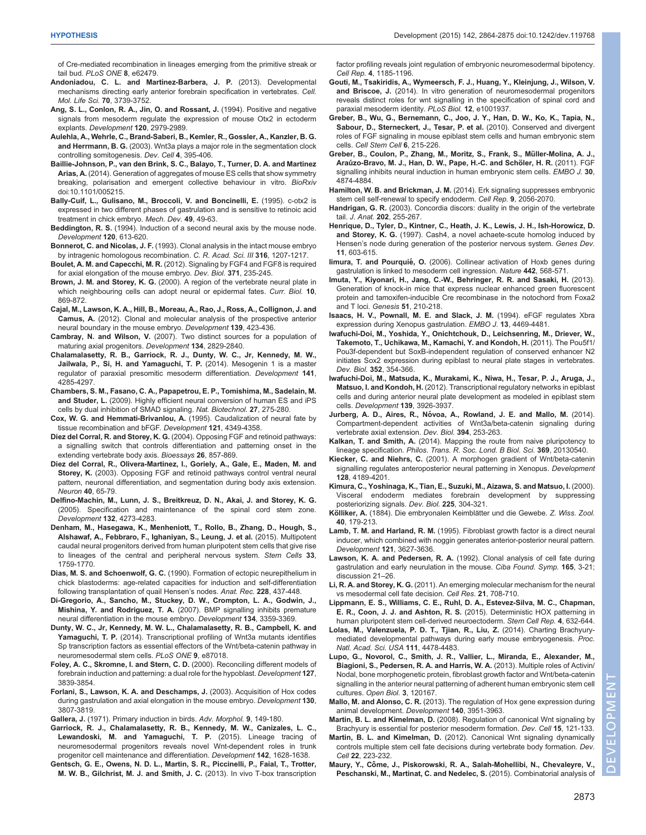<span id="page-9-0"></span>[of Cre-mediated recombination in lineages emerging from the primitive streak or](http://dx.doi.org/10.1371/journal.pone.0062479) tail bud. [PLoS ONE](http://dx.doi.org/10.1371/journal.pone.0062479) 8, e62479.

- [Andoniadou, C. L. and Martinez-Barbera, J. P.](http://dx.doi.org/10.1007/s00018-013-1269-5) (2013). Developmental [mechanisms directing early anterior forebrain specification in vertebrates.](http://dx.doi.org/10.1007/s00018-013-1269-5) Cell. [Mol. Life Sci.](http://dx.doi.org/10.1007/s00018-013-1269-5) 70, 3739-3752.
- Ang, S. L., Conlon, R. A., Jin, O. and Rossant, J. (1994). Positive and negative signals from mesoderm regulate the expression of mouse Otx2 in ectoderm explants. Development 120, 2979-2989.
- [Aulehla, A., Wehrle, C., Brand-Saberi, B., Kemler, R., Gossler, A., Kanzler, B. G.](http://doi:10.1016/S1534-5807(03)00055-8) and Herrmann, B. G. [\(2003\). Wnt3a plays a major role in the segmentation clock](http://doi:10.1016/S1534-5807(03)00055-8) [controlling somitogenesis.](http://doi:10.1016/S1534-5807(03)00055-8) Dev. Cell 4, 395-406.
- Baillie-Johnson, P., van den Brink, S. C., Balayo, T., Turner, D. A. and Martinez Arias, A. (2014). Generation of aggregates of mouse ES cells that show symmetry breaking, polarisation and emergent collective behaviour in vitro. BioRxiv doi:10.1101/005215.
- [Bally-Cuif, L., Gulisano, M., Broccoli, V. and Boncinelli, E.](http://dx.doi.org/10.1016/0925-4773(94)00301-3) (1995). c-otx2 is [expressed in two different phases of gastrulation and is sensitive to retinoic acid](http://dx.doi.org/10.1016/0925-4773(94)00301-3) [treatment in chick embryo.](http://dx.doi.org/10.1016/0925-4773(94)00301-3) Mech. Dev. 49, 49-63.
- Beddington, R. S. (1994). Induction of a second neural axis by the mouse node. Development 120, 613-620.
- Bonnerot, C. and Nicolas, J. F. (1993). Clonal analysis in the intact mouse embryo by intragenic homologous recombination. C. R. Acad. Sci. III 316, 1207-1217.
- Boulet, A. M. and Capecchi, M. R. [\(2012\). Signaling by FGF4 and FGF8 is required](http://dx.doi.org/10.1016/j.ydbio.2012.08.017) [for axial elongation of the mouse embryo.](http://dx.doi.org/10.1016/j.ydbio.2012.08.017) Dev. Biol. 371, 235-245.
- Brown, J. M. and Storey, K. G. [\(2000\). A region of the vertebrate neural plate in](http://dx.doi.org/10.1016/S0960-9822(00)00601-1) [which neighbouring cells can adopt neural or epidermal fates.](http://dx.doi.org/10.1016/S0960-9822(00)00601-1) Curr. Biol. 10, [869-872.](http://dx.doi.org/10.1016/S0960-9822(00)00601-1)
- [Cajal, M., Lawson, K. A., Hill, B., Moreau, A., Rao, J., Ross, A., Collignon, J. and](http://dx.doi.org/10.1242/dev.075499) Camus, A. [\(2012\). Clonal and molecular analysis of the prospective anterior](http://dx.doi.org/10.1242/dev.075499) [neural boundary in the mouse embryo.](http://dx.doi.org/10.1242/dev.075499) Development 139, 423-436.
- Cambray, N. and Wilson, V. [\(2007\). Two distinct sources for a population of](http://dx.doi.org/10.1242/dev.02877) [maturing axial progenitors.](http://dx.doi.org/10.1242/dev.02877) Development 134, 2829-2840.
- [Chalamalasetty, R. B., Garriock, R. J., Dunty, W. C., Jr, Kennedy, M. W.,](http://dx.doi.org/10.1242/dev.110908) [Jailwala, P., Si, H. and Yamaguchi, T. P.](http://dx.doi.org/10.1242/dev.110908) (2014). Mesogenin 1 is a master [regulator of paraxial presomitic mesoderm differentiation.](http://dx.doi.org/10.1242/dev.110908) Development 141, [4285-4297.](http://dx.doi.org/10.1242/dev.110908)
- [Chambers, S. M., Fasano, C. A., Papapetrou, E. P., Tomishima, M., Sadelain, M.](http://dx.doi.org/10.1038/nbt.1529) and Studer, L. [\(2009\). Highly efficient neural conversion of human ES and iPS](http://dx.doi.org/10.1038/nbt.1529) [cells by dual inhibition of SMAD signaling.](http://dx.doi.org/10.1038/nbt.1529) Nat. Biotechnol. 27, 275-280.
- Cox, W. G. and Hemmati-Brivanlou, A. (1995). Caudalization of neural fate by tissue recombination and bFGF. Development 121, 4349-4358.
- Diez del Corral, R. and Storey, K. G. [\(2004\). Opposing FGF and retinoid pathways:](http://dx.doi.org/10.1002/bies.20080) [a signalling switch that controls differentiation and patterning onset in the](http://dx.doi.org/10.1002/bies.20080) [extending vertebrate body axis.](http://dx.doi.org/10.1002/bies.20080) Bioessays 26, 857-869.
- [Diez del Corral, R., Olivera-Martinez, I., Goriely, A., Gale, E., Maden, M. and](http://dx.doi.org/10.1016/S0896-6273(03)00565-8) Storey, K. [\(2003\). Opposing FGF and retinoid pathways control ventral neural](http://dx.doi.org/10.1016/S0896-6273(03)00565-8) [pattern, neuronal differentiation, and segmentation during body axis extension.](http://dx.doi.org/10.1016/S0896-6273(03)00565-8) Neuron 40[, 65-79.](http://dx.doi.org/10.1016/S0896-6273(03)00565-8)
- [Delfino-Machin, M., Lunn, J. S., Breitkreuz, D. N., Akai, J. and Storey, K. G.](http://dx.doi.org/10.1242/dev.02009) [\(2005\). Specification and maintenance of the spinal cord stem zone.](http://dx.doi.org/10.1242/dev.02009) [Development](http://dx.doi.org/10.1242/dev.02009) 132, 4273-4283.
- [Denham, M., Hasegawa, K., Menheniott, T., Rollo, B., Zhang, D., Hough, S.,](http://dx.doi.org/10.1002/stem.1991) [Alshawaf, A., Febbraro, F., Ighaniyan, S., Leung, J. et al.](http://dx.doi.org/10.1002/stem.1991) (2015). Multipotent [caudal neural progenitors derived from human pluripotent stem cells that give rise](http://dx.doi.org/10.1002/stem.1991) [to lineages of the central and peripheral nervous system.](http://dx.doi.org/10.1002/stem.1991) Stem Cells 33, [1759-1770.](http://dx.doi.org/10.1002/stem.1991)
- Dias, M. S. and Schoenwolf, G. C. [\(1990\). Formation of ectopic neurepithelium in](http://dx.doi.org/10.1002/ar.1092280410) [chick blastoderms: age-related capacities for induction and self-differentiation](http://dx.doi.org/10.1002/ar.1092280410) [following transplantation of quail Hensen](http://dx.doi.org/10.1002/ar.1092280410)'s nodes. Anat. Rec. 228, 437-448.
- [Di-Gregorio, A., Sancho, M., Stuckey, D. W., Crompton, L. A., Godwin, J.,](http://dx.doi.org/10.1242/dev.005967) Mishina, Y. and Rodriguez, T. A. [\(2007\). BMP signalling inhibits premature](http://dx.doi.org/10.1242/dev.005967) [neural differentiation in the mouse embryo.](http://dx.doi.org/10.1242/dev.005967) Development 134, 3359-3369.
- [Dunty, W. C., Jr, Kennedy, M. W. L., Chalamalasetty, R. B., Campbell, K. and](http://dx.doi.org/10.1371/journal.pone.0087018) Yamaguchi, T. P. [\(2014\). Transcriptional profiling of Wnt3a mutants identifies](http://dx.doi.org/10.1371/journal.pone.0087018) [Sp transcription factors as essential effectors of the Wnt/beta-catenin pathway in](http://dx.doi.org/10.1371/journal.pone.0087018) [neuromesodermal stem cells.](http://dx.doi.org/10.1371/journal.pone.0087018) PLoS ONE 9, e87018.
- Foley, A. C., Skromne, I. and Stern, C. D. (2000). Reconciling different models of forebrain induction and patterning: a dual role for the hypoblast. Development 127, 3839-3854.
- [Forlani, S., Lawson, K. A. and Deschamps, J.](http://dx.doi.org/10.1242/dev.00573) (2003). Acquisition of Hox codes [during gastrulation and axial elongation in the mouse embryo.](http://dx.doi.org/10.1242/dev.00573) Development 130, [3807-3819.](http://dx.doi.org/10.1242/dev.00573)
- Gallera, J. [\(1971\). Primary induction in birds.](http://dx.doi.org/10.1016/B978-0-12-028609-6.50008-X) Adv. Morphol. 9, 149-180.
- [Garriock, R. J., Chalamalasetty, R. B., Kennedy, M. W., Canizales, L. C.,](http://dx.doi.org/10.1242/dev.111922) [Lewandoski, M. and Yamaguchi, T. P.](http://dx.doi.org/10.1242/dev.111922) (2015). Lineage tracing of [neuromesodermal progenitors reveals novel Wnt-dependent roles in trunk](http://dx.doi.org/10.1242/dev.111922) [progenitor cell maintenance and differentiation.](http://dx.doi.org/10.1242/dev.111922) Development 142, 1628-1638.
- [Gentsch, G. E., Owens, N. D. L., Martin, S. R., Piccinelli, P., Faial, T., Trotter,](http://dx.doi.org/10.1016/j.celrep.2013.08.012) [M. W. B., Gilchrist, M. J. and Smith, J. C.](http://dx.doi.org/10.1016/j.celrep.2013.08.012) (2013). In vivo T-box transcription

[factor profiling reveals joint regulation of embryonic neuromesodermal bipotency.](http://dx.doi.org/10.1016/j.celrep.2013.08.012) Cell Rep. 4[, 1185-1196.](http://dx.doi.org/10.1016/j.celrep.2013.08.012)

- [Gouti, M., Tsakiridis, A., Wymeersch, F. J., Huang, Y., Kleinjung, J., Wilson, V.](http://dx.doi.org/10.1371/journal.pbio.1001937) and Briscoe, J. [\(2014\). In vitro generation of neuromesodermal progenitors](http://dx.doi.org/10.1371/journal.pbio.1001937) [reveals distinct roles for wnt signalling in the specification of spinal cord and](http://dx.doi.org/10.1371/journal.pbio.1001937) [paraxial mesoderm identity.](http://dx.doi.org/10.1371/journal.pbio.1001937) PLoS Biol. 12, e1001937.
- [Greber, B., Wu, G., Bernemann, C., Joo, J. Y., Han, D. W., Ko, K., Tapia, N.,](http://dx.doi.org/10.1016/j.stem.2010.01.003) [Sabour, D., Sterneckert, J., Tesar, P. et al.](http://dx.doi.org/10.1016/j.stem.2010.01.003) (2010). Conserved and divergent [roles of FGF signaling in mouse epiblast stem cells and human embryonic stem](http://dx.doi.org/10.1016/j.stem.2010.01.003) cells. [Cell Stem Cell](http://dx.doi.org/10.1016/j.stem.2010.01.003) 6, 215-226.
- [Greber, B., Coulon, P., Zhang, M., Moritz, S., Frank, S., Mu](http://dx.doi.org/10.1038/emboj.2011.407)̈ller-Molina, A. J., Araúzo-Bravo, M. J., Han, D. W., Pape, H.-C. and Schöler, H. R. (2011). FGF [signalling inhibits neural induction in human embryonic stem cells.](http://dx.doi.org/10.1038/emboj.2011.407) EMBO J. 30, [4874-4884.](http://dx.doi.org/10.1038/emboj.2011.407)
- Hamilton, W. B. and Brickman, J. M. [\(2014\). Erk signaling suppresses embryonic](http://dx.doi.org/10.1016/j.celrep.2014.11.032) [stem cell self-renewal to specify endoderm.](http://dx.doi.org/10.1016/j.celrep.2014.11.032) Cell Rep. 9, 2056-2070.
- Handrigan, G. R. [\(2003\). Concordia discors: duality in the origin of the vertebrate](http://dx.doi.org/10.1046/j.1469-7580.2003.00163.x) tail. J. Anat. 202[, 255-267.](http://dx.doi.org/10.1046/j.1469-7580.2003.00163.x)
- [Henrique, D., Tyler, D., Kintner, C., Heath, J. K., Lewis, J. H., Ish-Horowicz, D.](http://dx.doi.org/10.1101/gad.11.5.603) and Storey, K. G. [\(1997\). Cash4, a novel achaete-scute homolog induced by](http://dx.doi.org/10.1101/gad.11.5.603) Hensen'[s node during generation of the posterior nervous system.](http://dx.doi.org/10.1101/gad.11.5.603) Genes Dev. 11[, 603-615.](http://dx.doi.org/10.1101/gad.11.5.603)
- limura, T. and Pourquié, O. [\(2006\). Collinear activation of Hoxb genes during](http://dx.doi.org/10.1038/nature04838) [gastrulation is linked to mesoderm cell ingression.](http://dx.doi.org/10.1038/nature04838) Nature 442, 568-571.
- [Imuta, Y., Kiyonari, H., Jang, C.-W., Behringer, R. R. and Sasaki, H.](http://dx.doi.org/10.1002/dvg.22376) (2013). [Generation of knock-in mice that express nuclear enhanced green fluorescent](http://dx.doi.org/10.1002/dvg.22376) [protein and tamoxifen-inducible Cre recombinase in the notochord from Foxa2](http://dx.doi.org/10.1002/dvg.22376) [and T loci.](http://dx.doi.org/10.1002/dvg.22376) Genesis 51, 210-218.
- Isaacs, H. V., Pownall, M. E. and Slack, J. M. (1994). eFGF regulates Xbra expression during Xenopus gastrulation. EMBO J. 13, 4469-4481.
- [Iwafuchi-Doi, M., Yoshida, Y., Onichtchouk, D., Leichsenring, M., Driever, W.,](http://dx.doi.org/10.1016/j.ydbio.2010.12.027) [Takemoto, T., Uchikawa, M., Kamachi, Y. and Kondoh, H.](http://dx.doi.org/10.1016/j.ydbio.2010.12.027) (2011). The Pou5f1/ [Pou3f-dependent but SoxB-independent regulation of conserved enhancer N2](http://dx.doi.org/10.1016/j.ydbio.2010.12.027) [initiates Sox2 expression during epiblast to neural plate stages in vertebrates.](http://dx.doi.org/10.1016/j.ydbio.2010.12.027) Dev. Biol. 352[, 354-366.](http://dx.doi.org/10.1016/j.ydbio.2010.12.027)
- [Iwafuchi-Doi, M., Matsuda, K., Murakami, K., Niwa, H., Tesar, P. J., Aruga, J.,](http://dx.doi.org/10.1242/dev.085936) Matsuo, I. and Kondoh, H. [\(2012\). Transcriptional regulatory networks in epiblast](http://dx.doi.org/10.1242/dev.085936) [cells and during anterior neural plate development as modeled in epiblast stem](http://dx.doi.org/10.1242/dev.085936) cells. [Development](http://dx.doi.org/10.1242/dev.085936) 139, 3926-3937.
- Jurberg, A. D., Aires, R., Nó[voa, A., Rowland, J. E. and Mallo, M.](http://dx.doi.org/10.1016/j.ydbio.2014.08.012) (2014). [Compartment-dependent activities of Wnt3a/beta-catenin signaling during](http://dx.doi.org/10.1016/j.ydbio.2014.08.012) [vertebrate axial extension.](http://dx.doi.org/10.1016/j.ydbio.2014.08.012) Dev. Biol. 394, 253-263.
- Kalkan, T. and Smith, A. [\(2014\). Mapping the route from naive pluripotency to](http://dx.doi.org/10.1098/rstb.2013.0540) lineage specification. [Philos. Trans. R. Soc. Lond. B Biol. Sci.](http://dx.doi.org/10.1098/rstb.2013.0540) 369, 20130540.
- Kiecker, C. and Niehrs, C. (2001). A morphogen gradient of Wnt/beta-catenin signalling regulates anteroposterior neural patterning in Xenopus. Development 128, 4189-4201.
- [Kimura, C., Yoshinaga, K., Tian, E., Suzuki, M., Aizawa, S. and Matsuo, I.](http://dx.doi.org/10.1006/dbio.2000.9835) (2000). [Visceral endoderm mediates forebrain development by suppressing](http://dx.doi.org/10.1006/dbio.2000.9835) [posteriorizing signals.](http://dx.doi.org/10.1006/dbio.2000.9835) Dev. Biol. 225, 304-321.
- Kölliker, A. (1884). Die embryonalen Keimblätter und die Gewebe. Z. Wiss. Zool. 40, 179-213.
- Lamb, T. M. and Harland, R. M. (1995). Fibroblast growth factor is a direct neural inducer, which combined with noggin generates anterior-posterior neural pattern. Development 121, 3627-3636.
- Lawson, K. A. and Pedersen, R. A. (1992). Clonal analysis of cell fate during gastrulation and early neurulation in the mouse. Ciba Found. Symp. 165, 3-21; discussion 21–26.
- Li, R. A. and Storey, K. G. [\(2011\). An emerging molecular mechanism for the neural](http://dx.doi.org/10.1038/cr.2011.54) [vs mesodermal cell fate decision.](http://dx.doi.org/10.1038/cr.2011.54) Cell Res. 21, 708-710.
- [Lippmann, E. S., Williams, C. E., Ruhl, D. A., Estevez-Silva, M. C., Chapman,](http://dx.doi.org/10.1016/j.stemcr.2015.02.018) E. R., Coon, J. J. and Ashton, R. S. [\(2015\). Deterministic HOX patterning in](http://dx.doi.org/10.1016/j.stemcr.2015.02.018) [human pluripotent stem cell-derived neuroectoderm.](http://dx.doi.org/10.1016/j.stemcr.2015.02.018) Stem Cell Rep. 4, 632-644.
- [Lolas, M., Valenzuela, P. D. T., Tjian, R., Liu, Z.](http://dx.doi.org/10.1073/pnas.1402612111) (2014). Charting Brachyury[mediated developmental pathways during early mouse embryogenesis.](http://dx.doi.org/10.1073/pnas.1402612111) Proc. [Natl. Acad. Sci. USA](http://dx.doi.org/10.1073/pnas.1402612111) 111, 4478-4483.
- [Lupo, G., Novorol, C., Smith, J. R., Vallier, L., Miranda, E., Alexander, M.,](http://dx.doi.org/10.1098/rsob.120167) [Biagioni, S., Pedersen, R. A. and Harris, W. A.](http://dx.doi.org/10.1098/rsob.120167) (2013). Multiple roles of Activin/ [Nodal, bone morphogenetic protein, fibroblast growth factor and Wnt/beta-catenin](http://dx.doi.org/10.1098/rsob.120167) [signalling in the anterior neural patterning of adherent human embryonic stem cell](http://dx.doi.org/10.1098/rsob.120167) cultures. [Open Biol.](http://dx.doi.org/10.1098/rsob.120167) 3, 120167.
- Mallo, M. and Alonso, C. R. [\(2013\). The regulation of Hox gene expression during](http://dx.doi.org/10.1242/dev.068346) [animal development.](http://dx.doi.org/10.1242/dev.068346) Development 140, 3951-3963.
- Martin, B. L. and Kimelman, D. [\(2008\). Regulation of canonical Wnt signaling by](http://dx.doi.org/10.1016/j.devcel.2008.04.013) [Brachyury is essential for posterior mesoderm formation.](http://dx.doi.org/10.1016/j.devcel.2008.04.013) Dev. Cell 15, 121-133.
- Martin, B. L. and Kimelman, D. [\(2012\). Canonical Wnt signaling dynamically](http://dx.doi.org/10.1016/j.devcel.2011.11.001) [controls multiple stem cell fate decisions during vertebrate body formation.](http://dx.doi.org/10.1016/j.devcel.2011.11.001) Dev. Cell 22[, 223-232.](http://dx.doi.org/10.1016/j.devcel.2011.11.001)
- Maury, Y., Cô[me, J., Piskorowski, R. A., Salah-Mohellibi, N., Chevaleyre, V.,](http://dx.doi.org/10.1038/nbt.3049) [Peschanski, M., Martinat, C. and Nedelec, S.](http://dx.doi.org/10.1038/nbt.3049) (2015). Combinatorial analysis of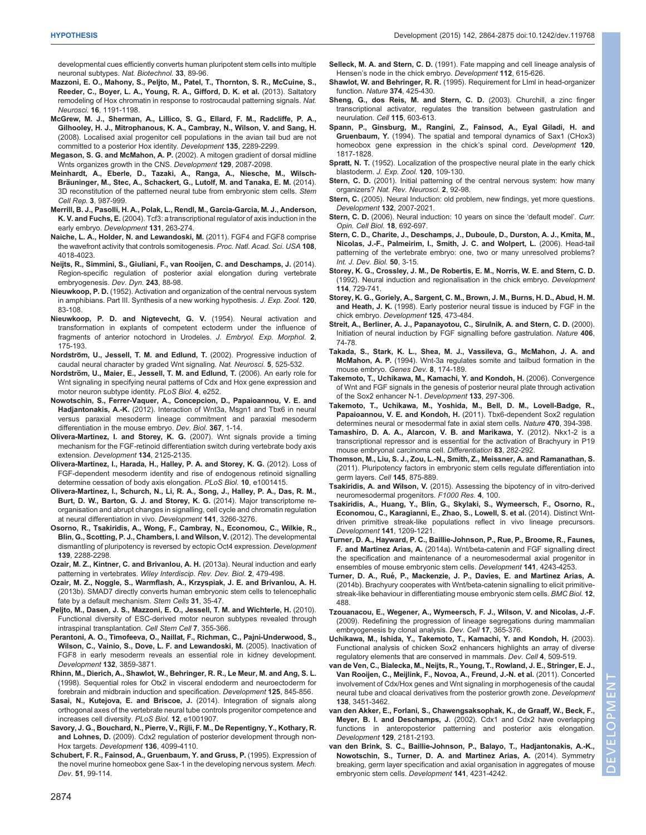<span id="page-10-0"></span>[developmental cues efficiently converts human pluripotent stem cells into multiple](http://dx.doi.org/10.1038/nbt.3049) [neuronal subtypes.](http://dx.doi.org/10.1038/nbt.3049) Nat. Biotechnol. 33, 89-96.

- [Mazzoni, E. O., Mahony, S., Peljto, M., Patel, T., Thornton, S. R., McCuine, S.,](http://dx.doi.org/10.1038/nn.3490) [Reeder, C., Boyer, L. A., Young, R. A., Gifford, D. K. et al.](http://dx.doi.org/10.1038/nn.3490) (2013). Saltatory [remodeling of Hox chromatin in response to rostrocaudal patterning signals.](http://dx.doi.org/10.1038/nn.3490) Nat. Neurosci. 16[, 1191-1198.](http://dx.doi.org/10.1038/nn.3490)
- [McGrew, M. J., Sherman, A., Lillico, S. G., Ellard, F. M., Radcliffe, P. A.,](http://dx.doi.org/10.1242/dev.022020) [Gilhooley, H. J., Mitrophanous, K. A., Cambray, N., Wilson, V. and Sang, H.](http://dx.doi.org/10.1242/dev.022020) [\(2008\). Localised axial progenitor cell populations in the avian tail bud are not](http://dx.doi.org/10.1242/dev.022020) [committed to a posterior Hox identity.](http://dx.doi.org/10.1242/dev.022020) Development 135, 2289-2299.
- Megason, S. G. and McMahon, A. P. (2002). A mitogen gradient of dorsal midline Wnts organizes growth in the CNS. Development 129, 2087-2098.
- [Meinhardt, A., Eberle, D., Tazaki, A., Ranga, A., Niesche, M., Wilsch](http://dx.doi.org/10.1016/j.stemcr.2014.09.020)Brä[uninger, M., Stec, A., Schackert, G., Lutolf, M. and Tanaka, E. M.](http://dx.doi.org/10.1016/j.stemcr.2014.09.020) (2014). [3D reconstitution of the patterned neural tube from embryonic stem cells.](http://dx.doi.org/10.1016/j.stemcr.2014.09.020) Stem Cell Rep. 3[, 987-999.](http://dx.doi.org/10.1016/j.stemcr.2014.09.020)
- [Merrill, B. J., Pasolli, H. A., Polak, L., Rendl, M., Garcia-Garcia, M. J., Anderson,](http://dx.doi.org/10.1242/dev.00935) K. V. and Fuchs, E. [\(2004\). Tcf3: a transcriptional regulator of axis induction in the](http://dx.doi.org/10.1242/dev.00935) [early embryo.](http://dx.doi.org/10.1242/dev.00935) Development 131, 263-274.
- [Naiche, L. A., Holder, N. and Lewandoski, M.](http://dx.doi.org/10.1073/pnas.1007417108) (2011). FGF4 and FGF8 comprise [the wavefront activity that controls somitogenesis.](http://dx.doi.org/10.1073/pnas.1007417108) Proc. Natl. Acad. Sci. USA 108, [4018-4023.](http://dx.doi.org/10.1073/pnas.1007417108)
- [Neijts, R., Simmini, S., Giuliani, F., van Rooijen, C. and Deschamps, J.](http://dx.doi.org/10.1002/dvdy.24027) (2014). [Region-specific regulation of posterior axial elongation during vertebrate](http://dx.doi.org/10.1002/dvdy.24027) [embryogenesis.](http://dx.doi.org/10.1002/dvdy.24027) Dev. Dyn. 243, 88-98.
- Nieuwkoop, P. D. [\(1952\). Activation and organization of the central nervous system](http://dx.doi.org/10.1002/jez.1401200104) [in amphibians. Part III. Synthesis of a new working hypothesis.](http://dx.doi.org/10.1002/jez.1401200104) J. Exp. Zool. 120, [83-108.](http://dx.doi.org/10.1002/jez.1401200104)
- Nieuwkoop, P. D. and Nigtevecht, G. V. (1954). Neural activation and transformation in explants of competent ectoderm under the influence of fragments of anterior notochord in Urodeles. J. Embryol. Exp. Morphol. 2, 175-193.
- Nordströ[m, U., Jessell, T. M. and Edlund, T.](http://dx.doi.org/10.1038/nn0602-854) (2002). Progressive induction of [caudal neural character by graded Wnt signaling.](http://dx.doi.org/10.1038/nn0602-854) Nat. Neurosci. 5, 525-532.
- Nordströ[m, U., Maier, E., Jessell, T. M. and Edlund, T.](http://dx.doi.org/10.1371/journal.pbio.0040252) (2006). An early role for [Wnt signaling in specifying neural patterns of Cdx and Hox gene expression and](http://dx.doi.org/10.1371/journal.pbio.0040252) [motor neuron subtype identity.](http://dx.doi.org/10.1371/journal.pbio.0040252) PLoS Biol. 4, e252.
- [Nowotschin, S., Ferrer-Vaquer, A., Concepcion, D., Papaioannou, V. E. and](http://dx.doi.org/10.1016/j.ydbio.2012.04.012) Hadjantonakis, A.-K. [\(2012\). Interaction of Wnt3a, Msgn1 and Tbx6 in neural](http://dx.doi.org/10.1016/j.ydbio.2012.04.012) [versus paraxial mesoderm lineage commitment and paraxial mesoderm](http://dx.doi.org/10.1016/j.ydbio.2012.04.012) [differentiation in the mouse embryo.](http://dx.doi.org/10.1016/j.ydbio.2012.04.012) Dev. Biol. 367, 1-14.
- [Olivera-Martinez, I. and Storey, K. G.](http://dx.doi.org/10.1242/dev.000216) (2007). Wnt signals provide a timing [mechanism for the FGF-retinoid differentiation switch during vertebrate body axis](http://dx.doi.org/10.1242/dev.000216) extension. [Development](http://dx.doi.org/10.1242/dev.000216) 134, 2125-2135.
- [Olivera-Martinez, I., Harada, H., Halley, P. A. and Storey, K. G.](http://dx.doi.org/10.1371/journal.pbio.1001415) (2012). Loss of [FGF-dependent mesoderm identity and rise of endogenous retinoid signalling](http://dx.doi.org/10.1371/journal.pbio.1001415) [determine cessation of body axis elongation.](http://dx.doi.org/10.1371/journal.pbio.1001415) PLoS Biol. 10, e1001415.
- [Olivera-Martinez, I., Schurch, N., Li, R. A., Song, J., Halley, P. A., Das, R. M.,](http://dx.doi.org/10.1242/dev.112623) [Burt, D. W., Barton, G. J. and Storey, K. G.](http://dx.doi.org/10.1242/dev.112623) (2014). Major transcriptome re[organisation and abrupt changes in signalling, cell cycle and chromatin regulation](http://dx.doi.org/10.1242/dev.112623) [at neural differentiation in vivo.](http://dx.doi.org/10.1242/dev.112623) Development 141, 3266-3276.
- [Osorno, R., Tsakiridis, A., Wong, F., Cambray, N., Economou, C., Wilkie, R.,](http://dx.doi.org/10.1242/dev.078071) [Blin, G., Scotting, P. J., Chambers, I. and Wilson, V.](http://dx.doi.org/10.1242/dev.078071) (2012). The developmental [dismantling of pluripotency is reversed by ectopic Oct4 expression.](http://dx.doi.org/10.1242/dev.078071) Development 139[, 2288-2298.](http://dx.doi.org/10.1242/dev.078071)
- [Ozair, M. Z., Kintner, C. and Brivanlou, A. H.](http://dx.doi.org/10.1002/wdev.90) (2013a). Neural induction and early patterning in vertebrates. [Wiley Interdiscip. Rev. Dev. Biol.](http://dx.doi.org/10.1002/wdev.90) 2, 479-498.
- [Ozair, M. Z., Noggle, S., Warmflash, A., Krzyspiak, J. E. and Brivanlou, A. H.](http://dx.doi.org/10.1002/stem.1246) [\(2013b\). SMAD7 directly converts human embryonic stem cells to telencephalic](http://dx.doi.org/10.1002/stem.1246) [fate by a default mechanism.](http://dx.doi.org/10.1002/stem.1246) Stem Cells 31, 35-47.
- [Peljto, M., Dasen, J. S., Mazzoni, E. O., Jessell, T. M. and Wichterle, H.](http://dx.doi.org/10.1016/j.stem.2010.07.013) (2010). [Functional diversity of ESC-derived motor neuron subtypes revealed through](http://dx.doi.org/10.1016/j.stem.2010.07.013) [intraspinal transplantation.](http://dx.doi.org/10.1016/j.stem.2010.07.013) Cell Stem Cell 7, 355-366.
- [Perantoni, A. O., Timofeeva, O., Naillat, F., Richman, C., Pajni-Underwood, S.,](http://dx.doi.org/10.1242/dev.01945) [Wilson, C., Vainio, S., Dove, L. F. and Lewandoski, M.](http://dx.doi.org/10.1242/dev.01945) (2005). Inactivation of [FGF8 in early mesoderm reveals an essential role in kidney development.](http://dx.doi.org/10.1242/dev.01945) [Development](http://dx.doi.org/10.1242/dev.01945) 132, 3859-3871.
- Rhinn, M., Dierich, A., Shawlot, W., Behringer, R. R., Le Meur, M. and Ang, S. L. (1998). Sequential roles for Otx2 in visceral endoderm and neuroectoderm for forebrain and midbrain induction and specification. Development 125, 845-856.
- [Sasai, N., Kutejova, E. and Briscoe, J.](http://dx.doi.org/10.1371/journal.pbio.1001907) (2014). Integration of signals along [orthogonal axes of the vertebrate neural tube controls progenitor competence and](http://dx.doi.org/10.1371/journal.pbio.1001907) [increases cell diversity.](http://dx.doi.org/10.1371/journal.pbio.1001907) PLoS Biol. 12, e1001907.
- [Savory, J. G., Bouchard, N., Pierre, V., Rijli, F. M., De Repentigny, Y., Kothary, R.](http://dx.doi.org/10.1242/dev.041582) and Lohnes, D. [\(2009\). Cdx2 regulation of posterior development through non-](http://dx.doi.org/10.1242/dev.041582)Hox targets. [Development](http://dx.doi.org/10.1242/dev.041582) 136, 4099-4110.
- [Schubert, F. R., Fainsod, A., Gruenbaum, Y. and Gruss, P.](http://dx.doi.org/10.1016/0925-4773(95)00358-8) (1995). Expression of [the novel murine homeobox gene Sax-1 in the developing nervous system.](http://dx.doi.org/10.1016/0925-4773(95)00358-8) Mech. Dev. 51[, 99-114.](http://dx.doi.org/10.1016/0925-4773(95)00358-8)
- Selleck, M. A. and Stern, C. D. (1991). Fate mapping and cell lineage analysis of Hensen's node in the chick embryo. Development 112, 615-626.
- Shawlot, W. and Behringer, R. R. [\(1995\). Requirement for LIml in head-organizer](http://dx.doi.org/10.1038/374425a0) function. Nature 374[, 425-430.](http://dx.doi.org/10.1038/374425a0)
- [Sheng, G., dos Reis, M. and Stern, C. D.](http://dx.doi.org/10.1016/S0092-8674(03)00927-9) (2003). Churchill, a zinc finger [transcriptional activator, regulates the transition between gastrulation and](http://dx.doi.org/10.1016/S0092-8674(03)00927-9) [neurulation.](http://dx.doi.org/10.1016/S0092-8674(03)00927-9) Cell 115, 603-613.
- Spann, P., Ginsburg, M., Rangini, Z., Fainsod, A., Eyal Giladi, H. and Gruenbaum, Y. (1994). The spatial and temporal dynamics of Sax1 (CHox3) homeobox gene expression in the chick's spinal cord. Development 120, 1817-1828.
- Spratt, N. T. [\(1952\). Localization of the prospective neural plate in the early chick](http://dx.doi.org/10.1002/jez.1401200105) blastoderm. [J. Exp. Zool.](http://dx.doi.org/10.1002/jez.1401200105) 120, 109-130.
- Stern, C. D. [\(2001\). Initial patterning of the central nervous system: how many](http://dx.doi.org/10.1038/35053563) organizers? [Nat. Rev. Neurosci.](http://dx.doi.org/10.1038/35053563) 2, 92-98.
- Stern, C. [\(2005\). Neural Induction: old problem, new findings, yet more questions.](http://dx.doi.org/10.1242/dev.01794) [Development](http://dx.doi.org/10.1242/dev.01794) 132, 2007-2021.
- Stern, C. D. [\(2006\). Neural induction: 10 years on since the](http://dx.doi.org/10.1016/j.ceb.2006.09.002) 'default model'. Curr. [Opin. Cell Biol.](http://dx.doi.org/10.1016/j.ceb.2006.09.002) 18, 692-697.
- [Stern, C. D., Charite, J., Deschamps, J., Duboule, D., Durston, A. J., Kmita, M.,](http://dx.doi.org/10.1387/ijdb.052095cs) [Nicolas, J.-F., Palmeirim, I., Smith, J. C. and Wolpert, L.](http://dx.doi.org/10.1387/ijdb.052095cs) (2006). Head-tail [patterning of the vertebrate embryo: one, two or many unresolved problems?](http://dx.doi.org/10.1387/ijdb.052095cs) [Int. J. Dev. Biol.](http://dx.doi.org/10.1387/ijdb.052095cs) 50, 3-15.
- Storey, K. G., Crossley, J. M., De Robertis, E. M., Norris, W. E. and Stern, C. D. (1992). Neural induction and regionalisation in the chick embryo. Development 114, 729-741.
- Storey, K. G., Goriely, A., Sargent, C. M., Brown, J. M., Burns, H. D., Abud, H. M. and Heath, J. K. (1998). Early posterior neural tissue is induced by FGF in the chick embryo. Development 125, 473-484.
- [Streit, A., Berliner, A. J., Papanayotou, C., Sirulnik, A. and Stern, C. D.](http://dx.doi.org/10.1038/35017617) (2000). [Initiation of neural induction by FGF signalling before gastrulation.](http://dx.doi.org/10.1038/35017617) Nature 406, [74-78.](http://dx.doi.org/10.1038/35017617)
- [Takada, S., Stark, K. L., Shea, M. J., Vassileva, G., McMahon, J. A. and](http://dx.doi.org/10.1101/gad.8.2.174) McMahon, A. P. [\(1994\). Wnt-3a regulates somite and tailbud formation in the](http://dx.doi.org/10.1101/gad.8.2.174) [mouse embryo.](http://dx.doi.org/10.1101/gad.8.2.174) Genes Dev. 8, 174-189.
- [Takemoto, T., Uchikawa, M., Kamachi, Y. and Kondoh, H.](http://dx.doi.org/10.1242/dev.02196) (2006). Convergence [of Wnt and FGF signals in the genesis of posterior neural plate through activation](http://dx.doi.org/10.1242/dev.02196) [of the Sox2 enhancer N-1.](http://dx.doi.org/10.1242/dev.02196) Development 133, 297-306.
- [Takemoto, T., Uchikawa, M., Yoshida, M., Bell, D. M., Lovell-Badge, R.,](http://dx.doi.org/10.1038/nature09729) Papaioannou, V. E. and Kondoh, H. [\(2011\). Tbx6-dependent Sox2 regulation](http://dx.doi.org/10.1038/nature09729) [determines neural or mesodermal fate in axial stem cells.](http://dx.doi.org/10.1038/nature09729) Nature 470, 394-398.
- [Tamashiro, D. A. A., Alarcon, V. B. and Marikawa, Y.](http://dx.doi.org/10.1016/j.diff.2012.02.010) (2012). Nkx1-2 is a [transcriptional repressor and is essential for the activation of Brachyury in P19](http://dx.doi.org/10.1016/j.diff.2012.02.010) [mouse embryonal carcinoma cell.](http://dx.doi.org/10.1016/j.diff.2012.02.010) Differentiation 83, 282-292.
- [Thomson, M., Liu, S. J., Zou, L.-N., Smith, Z., Meissner, A. and Ramanathan, S.](http://dx.doi.org/10.1016/j.cell.2011.05.017) [\(2011\). Pluripotency factors in embryonic stem cells regulate differentiation into](http://dx.doi.org/10.1016/j.cell.2011.05.017) [germ layers.](http://dx.doi.org/10.1016/j.cell.2011.05.017) Cell **145**, 875-889.
- Tsakiridis, A. and Wilson, V. [\(2015\). Assessing the bipotency of in vitro-derived](http://dx.doi.org/10.12688/f1000research.6345.1) [neuromesodermal progenitors.](http://dx.doi.org/10.12688/f1000research.6345.1) F1000 Res. 4, 100.
- [Tsakiridis, A., Huang, Y., Blin, G., Skylaki, S., Wymeersch, F., Osorno, R.,](http://dx.doi.org/10.1242/dev.101014) [Economou, C., Karagianni, E., Zhao, S., Lowell, S. et al.](http://dx.doi.org/10.1242/dev.101014) (2014). Distinct Wnt[driven primitive streak-like populations reflect in vivo lineage precursors.](http://dx.doi.org/10.1242/dev.101014) [Development](http://dx.doi.org/10.1242/dev.101014) 141, 1209-1221.
- [Turner, D. A., Hayward, P. C., Baillie-Johnson, P., Rue, P., Broome, R., Faunes,](http://dx.doi.org/10.1242/dev.112979) F. and Martinez Arias, A. [\(2014a\). Wnt/beta-catenin and FGF signalling direct](http://dx.doi.org/10.1242/dev.112979) [the specification and maintenance of a neuromesodermal axial progenitor in](http://dx.doi.org/10.1242/dev.112979) [ensembles of mouse embryonic stem cells.](http://dx.doi.org/10.1242/dev.112979) Development 141, 4243-4253.
- Turner, D. A., Rué[, P., Mackenzie, J. P., Davies, E. and Martinez Arias, A.](http://dx.doi.org/10.1186/s12915-014-0063-7) [\(2014b\). Brachyury cooperates with Wnt/beta-catenin signalling to elicit primitive](http://dx.doi.org/10.1186/s12915-014-0063-7)[streak-like behaviour in differentiating mouse embryonic stem cells.](http://dx.doi.org/10.1186/s12915-014-0063-7) BMC Biol. 12. [488.](http://dx.doi.org/10.1186/s12915-014-0063-7)
- [Tzouanacou, E., Wegener, A., Wymeersch, F. J., Wilson, V. and Nicolas, J.-F.](http://dx.doi.org/10.1016/j.devcel.2009.08.002) [\(2009\). Redefining the progression of lineage segregations during mammalian](http://dx.doi.org/10.1016/j.devcel.2009.08.002) [embryogenesis by clonal analysis.](http://dx.doi.org/10.1016/j.devcel.2009.08.002) Dev. Cell 17, 365-376.
- [Uchikawa, M., Ishida, Y., Takemoto, T., Kamachi, Y. and Kondoh, H.](http://dx.doi.org/10.1016/S1534-5807(03)00088-1) (2003). [Functional analysis of chicken Sox2 enhancers highlights an array of diverse](http://dx.doi.org/10.1016/S1534-5807(03)00088-1) [regulatory elements that are conserved in mammals.](http://dx.doi.org/10.1016/S1534-5807(03)00088-1) Dev. Cell 4, 509-519.
- [van de Ven, C., Bialecka, M., Neijts, R., Young, T., Rowland, J. E., Stringer, E. J.,](http://dx.doi.org/10.1242/dev.066118) [Van Rooijen, C., Meijlink, F., Novoa, A., Freund, J.-N. et al.](http://dx.doi.org/10.1242/dev.066118) (2011). Concerted [involvement of Cdx/Hox genes and Wnt signaling in morphogenesis of the caudal](http://dx.doi.org/10.1242/dev.066118) [neural tube and cloacal derivatives from the posterior growth zone.](http://dx.doi.org/10.1242/dev.066118) Development 138[, 3451-3462.](http://dx.doi.org/10.1242/dev.066118)
- van den Akker, E., Forlani, S., Chawengsaksophak, K., de Graaff, W., Beck, F., Meyer, B. I. and Deschamps, J. (2002). Cdx1 and Cdx2 have overlapping functions in anteroposterior patterning and posterior axis elongation. Development 129, 2181-2193.
- [van den Brink, S. C., Baillie-Johnson, P., Balayo, T., Hadjantonakis, A.-K.,](http://dx.doi.org/10.1242/dev.113001) [Nowotschin, S., Turner, D. A. and Martinez Arias, A.](http://dx.doi.org/10.1242/dev.113001) (2014). Symmetry [breaking, germ layer specification and axial organisation in aggregates of mouse](http://dx.doi.org/10.1242/dev.113001) [embryonic stem cells.](http://dx.doi.org/10.1242/dev.113001) Development 141, 4231-4242.

π